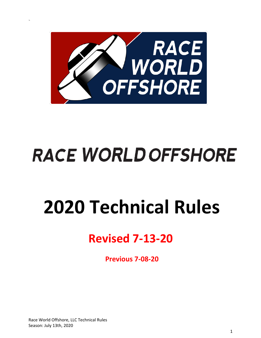

# **RACE WORLD OFFSHORE**

# **2020 Technical Rules**

# **Revised 7-13-20**

**Previous 7-08-20**

Race World Offshore, LLC Technical Rules Season: July 13th, 2020

\*ll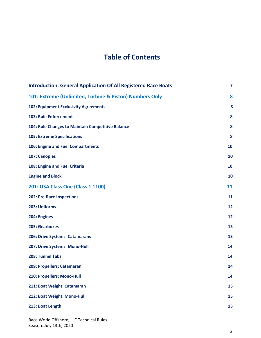# **Table of Contents**

| <b>Introduction: General Application Of All Registered Race Boats</b> |    |
|-----------------------------------------------------------------------|----|
| 101: Extreme (Unlimited, Turbine & Piston) Numbers Only               | 8  |
| <b>102: Equipment Exclusivity Agreements</b>                          | 8  |
| 103: Rule Enforcement                                                 | 8  |
| 104: Rule Changes to Maintain Competitive Balance                     | 8  |
| <b>105: Extreme Specifications</b>                                    | 8  |
| <b>106: Engine and Fuel Compartments</b>                              | 10 |
| 107: Canopies                                                         | 10 |
| 108: Engine and Fuel Criteria                                         | 10 |
| <b>Engine and Block</b>                                               | 10 |
| <b>201: USA Class One (Class 1 1100)</b>                              | 11 |
| <b>202: Pre-Race Inspections</b>                                      | 11 |
| 203: Uniforms                                                         | 12 |
| 204: Engines                                                          | 12 |
| 205: Gearboxes                                                        | 13 |
| 206: Drive Systems: Catamarans                                        | 13 |
| 207: Drive Systems: Mono-Hull                                         | 14 |
| 208: Tunnel Tabs                                                      | 14 |
| 209: Propellers: Catamaran                                            | 14 |
| 210: Propellers: Mono-Hull                                            | 14 |
| 211: Boat Weight: Catamaran                                           | 15 |
| 212: Boat Weight: Mono-Hull                                           | 15 |
| 213: Boat Length                                                      | 15 |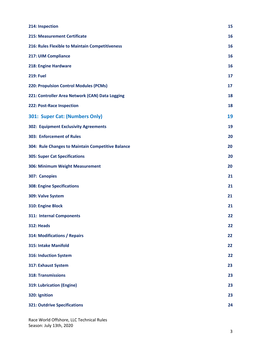| 214: Inspection                                   | 15 |
|---------------------------------------------------|----|
| <b>215: Measurement Certificate</b>               | 16 |
| 216: Rules Flexible to Maintain Competitiveness   | 16 |
| 217: UIM Compliance                               | 16 |
| 218: Engine Hardware                              | 16 |
| <b>219: Fuel</b>                                  | 17 |
| <b>220: Propulsion Control Modules (PCMs)</b>     | 17 |
| 221: Controller Area Network (CAN) Data Logging   | 18 |
| 222: Post-Race Inspection                         | 18 |
| 301: Super Cat: (Numbers Only)                    | 19 |
| 302: Equipment Exclusivity Agreements             | 19 |
| <b>303: Enforcement of Rules</b>                  | 20 |
| 304: Rule Changes to Maintain Competitive Balance | 20 |
| <b>305: Super Cat Specifications</b>              | 20 |
| 306: Minimum Weight Measurement                   | 20 |
| 307: Canopies                                     | 21 |
| <b>308: Engine Specifications</b>                 | 21 |
| 309: Valve System                                 | 21 |
| 310: Engine Block                                 | 21 |
| 311: Internal Components                          | 22 |
| 312: Heads                                        | 22 |
| <b>314: Modifications / Repairs</b>               | 22 |
| 315: Intake Manifold                              | 22 |
| 316: Induction System                             | 22 |
| 317: Exhaust System                               | 23 |
| <b>318: Transmissions</b>                         | 23 |
| 319: Lubrication (Engine)                         | 23 |
| 320: Ignition                                     | 23 |
| <b>321: Outdrive Specifications</b>               | 24 |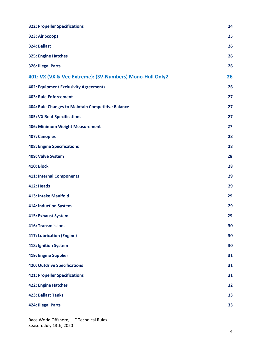| <b>322: Propeller Specifications</b>                     | 24 |
|----------------------------------------------------------|----|
| 323: Air Scoops                                          | 25 |
| 324: Ballast                                             | 26 |
| 325: Engine Hatches                                      | 26 |
| 326: Illegal Parts                                       | 26 |
| 401: VX (VX & Vee Extreme): (SV-Numbers) Mono-Hull Only2 | 26 |
| <b>402: Equipment Exclusivity Agreements</b>             | 26 |
| <b>403: Rule Enforcement</b>                             | 27 |
| 404: Rule Changes to Maintain Competitive Balance        | 27 |
| <b>405: VX Boat Specifications</b>                       | 27 |
| <b>406: Minimum Weight Measurement</b>                   | 27 |
| <b>407: Canopies</b>                                     | 28 |
| <b>408: Engine Specifications</b>                        | 28 |
| 409: Valve System                                        | 28 |
| <b>410: Block</b>                                        | 28 |
| <b>411: Internal Components</b>                          | 29 |
| 412: Heads                                               | 29 |
| <b>413: Intake Manifold</b>                              | 29 |
| <b>414: Induction System</b>                             | 29 |
| <b>415: Exhaust System</b>                               | 29 |
| <b>416: Transmissions</b>                                | 30 |
| <b>417: Lubrication (Engine)</b>                         | 30 |
| <b>418: Ignition System</b>                              | 30 |
| <b>419: Engine Supplier</b>                              | 31 |
| <b>420: Outdrive Specifications</b>                      | 31 |
| <b>421: Propeller Specifications</b>                     | 31 |
| <b>422: Engine Hatches</b>                               | 32 |
| <b>423: Ballast Tanks</b>                                | 33 |
| 424: Illegal Parts                                       | 33 |

Race World Offshore, LLC Technical Rules Season: July 13th, 2020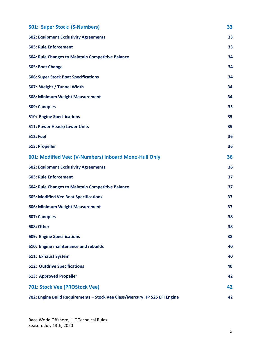| 501: Super Stock: (S-Numbers)                                              | 33 |
|----------------------------------------------------------------------------|----|
| <b>502: Equipment Exclusivity Agreements</b>                               | 33 |
| <b>503: Rule Enforcement</b>                                               | 33 |
| 504: Rule Changes to Maintain Competitive Balance                          | 34 |
| 505: Boat Change                                                           | 34 |
| <b>506: Super Stock Boat Specifications</b>                                | 34 |
| 507: Weight / Tunnel Width                                                 | 34 |
| 508: Minimum Weight Measurement                                            | 34 |
| <b>509: Canopies</b>                                                       | 35 |
| <b>510: Engine Specifications</b>                                          | 35 |
| 511: Power Heads/Lower Units                                               | 35 |
| <b>512: Fuel</b>                                                           | 36 |
| 513: Propeller                                                             | 36 |
| 601: Modified Vee: (V-Numbers) Inboard Mono-Hull Only                      | 36 |
| <b>602: Equipment Exclusivity Agreements</b>                               | 36 |
| <b>603: Rule Enforcement</b>                                               | 37 |
| 604: Rule Changes to Maintain Competitive Balance                          | 37 |
| <b>605: Modified Vee Boat Specifications</b>                               | 37 |
| 606: Minimum Weight Measurement                                            | 37 |
| 607: Canopies                                                              | 38 |
| <b>608: Other</b>                                                          | 38 |
| <b>609: Engine Specifications</b>                                          | 38 |
| 610: Engine maintenance and rebuilds                                       | 40 |
| 611: Exhaust System                                                        | 40 |
| <b>612: Outdrive Specifications</b>                                        | 40 |
| <b>613: Approved Propeller</b>                                             | 42 |
| 701: Stock Vee (PROStock Vee)                                              | 42 |
| 702: Engine Build Requirements - Stock Vee Class/Mercury HP 525 EFI Engine | 42 |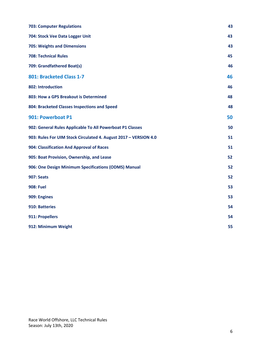| <b>703: Computer Regulations</b>                                 | 43 |
|------------------------------------------------------------------|----|
| 704: Stock Vee Data Logger Unit                                  | 43 |
| <b>705: Weights and Dimensions</b>                               | 43 |
| <b>708: Technical Rules</b>                                      | 45 |
| 709: Grandfathered Boat(s)                                       | 46 |
| 801: Bracketed Class 1-7                                         | 46 |
| 802: Introduction                                                | 46 |
| 803: How a GPS Breakout is Determined                            | 48 |
| 804: Bracketed Classes Inspections and Speed                     | 48 |
| 901: Powerboat P1                                                | 50 |
| 902: General Rules Applicable To All Powerboat P1 Classes        | 50 |
| 903: Rules For UIM Stock Circulated 4. August 2017 - VERSION 4.0 | 51 |
| 904: Classification And Approval of Races                        | 51 |
| 905: Boat Provision, Ownership, and Lease                        | 52 |
| 906: One Design Minimum Specifications (ODMS) Manual             | 52 |
| <b>907: Seats</b>                                                | 52 |
| <b>908: Fuel</b>                                                 | 53 |
| 909: Engines                                                     | 53 |
| 910: Batteries                                                   | 54 |
| 911: Propellers                                                  | 54 |
| 912: Minimum Weight                                              | 55 |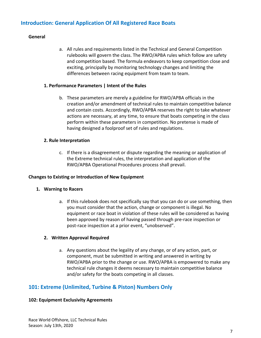# <span id="page-6-0"></span>**Introduction: General Application Of All Registered Race Boats**

#### **General**

a. All rules and requirements listed in the Technical and General Competition rulebooks will govern the class. The RWO/APBA rules which follow are safety and competition based. The formula endeavors to keep competition close and exciting, principally by monitoring technology changes and limiting the differences between racing equipment from team to team.

#### **1. Performance Parameters | Intent of the Rules**

b. These parameters are merely a guideline for RWO/APBA officials in the creation and/or amendment of technical rules to maintain competitive balance and contain costs. Accordingly, RWO/APBA reserves the right to take whatever actions are necessary, at any time, to ensure that boats competing in the class perform within these parameters in competition. No pretense is made of having designed a foolproof set of rules and regulations.

#### **2. Rule Interpretation**

c. If there is a disagreement or dispute regarding the meaning or application of the Extreme technical rules, the interpretation and application of the RWO/APBA Operational Procedures process shall prevail.

#### **Changes to Existing or Introduction of New Equipment**

#### **1. Warning to Racers**

a. If this rulebook does not specifically say that you can do or use something, then you must consider that the action, change or component is illegal. No equipment or race boat in violation of these rules will be considered as having been approved by reason of having passed through pre-race inspection or post-race inspection at a prior event, "unobserved".

#### **2. Written Approval Required**

a. Any questions about the legality of any change, or of any action, part, or component, must be submitted in writing and answered in writing by RWO/APBA prior to the change or use. RWO/APBA is empowered to make any technical rule changes it deems necessary to maintain competitive balance and/or safety for the boats competing in all classes.

# <span id="page-6-1"></span>**101: Extreme (Unlimited, Turbine & Piston) Numbers Only**

#### <span id="page-6-2"></span>**102: Equipment Exclusivity Agreements**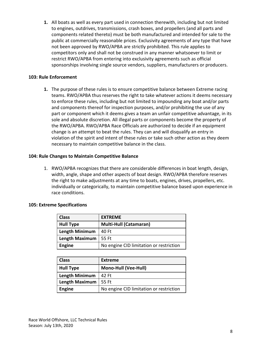**1.** All boats as well as every part used in connection therewith, including but not limited to engines, outdrives, transmissions, crash boxes, and propellers (and all parts and components related thereto) must be both manufactured and intended for sale to the public at commercially reasonable prices. Exclusivity agreements of any type that have not been approved by RWO/APBA are strictly prohibited. This rule applies to competitors only and shall not be construed in any manner whatsoever to limit or restrict RWO/APBA from entering into exclusivity agreements such as official sponsorships involving single source vendors, suppliers, manufacturers or producers.

#### <span id="page-7-0"></span>**103: Rule Enforcement**

**1.** The purpose of these rules is to ensure competitive balance between Extreme racing teams. RWO/APBA thus reserves the right to take whatever actions it deems necessary to enforce these rules, including but not limited to impounding any boat and/or parts and components thereof for inspection purposes, and/or prohibiting the use of any part or component which it deems gives a team an unfair competitive advantage, in its sole and absolute discretion. All illegal parts or components become the property of the RWO/APBA. RWO/APBA Race Officials are authorized to decide if an equipment change is an attempt to beat the rules. They can and will disqualify an entry in violation of the spirit and intent of these rules or take such other action as they deem necessary to maintain competitive balance in the class.

#### <span id="page-7-1"></span>**104: Rule Changes to Maintain Competitive Balance**

1. RWO/APBA recognizes that there are considerable differences in boat length, design, width, angle, shape and other aspects of boat design. RWO/APBA therefore reserves the right to make adjustments at any time to boats, engines, drives, propellers, etc. individually or categorically, to maintain competitive balance based upon experience in race conditions.

| <b>Class</b>          | <b>EXTREME</b>                          |
|-----------------------|-----------------------------------------|
| <b>Hull Type</b>      | <b>Multi-Hull (Catamaran)</b>           |
| <b>Length Minimum</b> | 40 Ft                                   |
| <b>Length Maximum</b> | -55 Ft                                  |
| <b>Engine</b>         | No engine CID limitation or restriction |

#### <span id="page-7-2"></span>**105: Extreme Specifications**

| <b>Class</b>          | Extreme                                 |
|-----------------------|-----------------------------------------|
| <b>Hull Type</b>      | <b>Mono-Hull (Vee-Hull)</b>             |
| Length Minimum        | 42 Ft                                   |
| <b>Length Maximum</b> | 55 Ft                                   |
| <b>Engine</b>         | No engine CID limitation or restriction |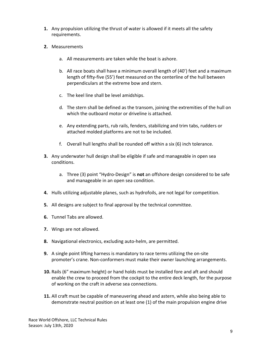- **1.** Any propulsion utilizing the thrust of water is allowed if it meets all the safety requirements.
- **2.** Measurements
	- a. All measurements are taken while the boat is ashore.
	- b. All race boats shall have a minimum overall length of (40') feet and a maximum length of fifty-five (55') feet measured on the centerline of the hull between perpendiculars at the extreme bow and stern.
	- c. The keel line shall be level amidships.
	- d. The stern shall be defined as the transom, joining the extremities of the hull on which the outboard motor or driveline is attached.
	- e. Any extending parts, rub rails, fenders, stabilizing and trim tabs, rudders or attached molded platforms are not to be included.
	- f. Overall hull lengths shall be rounded off within a six (6) inch tolerance.
- **3.** Any underwater hull design shall be eligible if safe and manageable in open sea conditions.
	- a. Three (3) point "Hydro-Design" is **not** an offshore design considered to be safe and manageable in an open sea condition.
- **4.** Hulls utilizing adjustable planes, such as hydrofoils, are not legal for competition.
- **5.** All designs are subject to final approval by the technical committee.
- **6.** Tunnel Tabs are allowed.
- **7.** Wings are not allowed.
- **8.** Navigational electronics, excluding auto-helm, are permitted.
- **9.** A single point lifting harness is mandatory to race terms utilizing the on-site promoter's crane. Non-conformers must make their owner launching arrangements.
- **10.** Rails (6" maximum height) or hand holds must be installed fore and aft and should enable the crew to proceed from the cockpit to the entire deck length, for the purpose of working on the craft in adverse sea connections.
- **11.** All craft must be capable of maneuvering ahead and astern, while also being able to demonstrate neutral position on at least one (1) of the main propulsion engine drive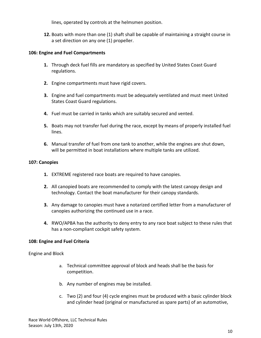lines, operated by controls at the helmsmen position.

**12.** Boats with more than one (1) shaft shall be capable of maintaining a straight course in a set direction on any one (1) propeller.

#### <span id="page-9-0"></span>**106: Engine and Fuel Compartments**

- **1.** Through deck fuel fills are mandatory as specified by United States Coast Guard regulations.
- **2.** Engine compartments must have rigid covers.
- **3.** Engine and fuel compartments must be adequately ventilated and must meet United States Coast Guard regulations.
- **4.** Fuel must be carried in tanks which are suitably secured and vented.
- **5.** Boats may not transfer fuel during the race, except by means of properly installed fuel lines.
- **6.** Manual transfer of fuel from one tank to another, while the engines are shut down, will be permitted in boat installations where multiple tanks are utilized.

#### <span id="page-9-1"></span>**107: Canopies**

- **1.** EXTREME registered race boats are required to have canopies.
- **2.** All canopied boats are recommended to comply with the latest canopy design and technology. Contact the boat manufacturer for their canopy standards.
- **3.** Any damage to canopies must have a notarized certified letter from a manufacturer of canopies authorizing the continued use in a race.
- **4.** RWO/APBA has the authority to deny entry to any race boat subject to these rules that has a non-compliant cockpit safety system.

#### <span id="page-9-2"></span>**108: Engine and Fuel Criteria**

<span id="page-9-3"></span>Engine and Block

- a. Technical committee approval of block and heads shall be the basis for competition.
- b. Any number of engines may be installed.
- c. Two (2) and four (4) cycle engines must be produced with a basic cylinder block and cylinder head (original or manufactured as spare parts) of an automotive,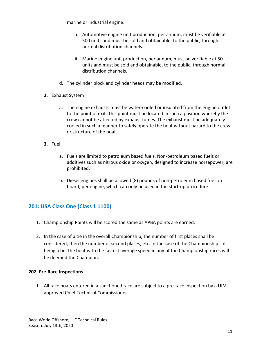marine or industrial engine.

- i. Automotive engine unit production, per annum, must be verifiable at 500 units and must be sold and obtainable, to the public, through normal distribution channels.
- ii. Marine engine unit production, per annum, must be verifiable at 50 units and must be sold and obtainable, to the public, through normal distribution channels.
- d. The cylinder block and cylinder heads may be modified.
- **2.** Exhaust System
	- a. The engine exhausts must be water-cooled or insulated from the engine outlet to the point of exit. This point must be located in such a position whereby the crew cannot be affected by exhaust fumes. The exhaust must be adequately cooled in such a manner to safely operate the boat without hazard to the crew or structure of the boat.
- **3.** Fuel
	- a. Fuels are limited to petroleum based fuels. Non-petroleum based fuels or additives such as nitrous oxide or oxygen, designed to increase horsepower, are prohibited.
	- b. Diesel engines shall be allowed (8) pounds of non-petroleum based fuel on board, per engine, which can only be used in the start-up procedure.

# <span id="page-10-0"></span>**201: USA Class One (Class 1 1100)**

- 1. Championship Points will be scored the same as APBA points are earned.
- 2. In the case of a tie in the overall Championship, the number of first places shall be considered, then the number of second places, etc. In the case of the Championship still being a tie, the boat with the fastest average speed in any of the Championship races will be deemed the Champion.

#### <span id="page-10-1"></span>**202: Pre-Race Inspections**

1. All race boats entered in a sanctioned race are subject to a pre-race inspection by a UIM approved Chief Technical Commissioner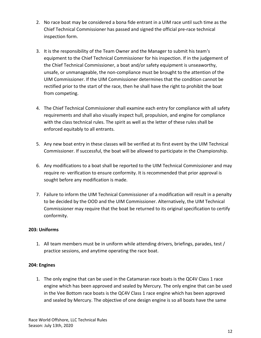- 2. No race boat may be considered a bona fide entrant in a UIM race until such time as the Chief Technical Commissioner has passed and signed the official pre-race technical inspection form.
- 3. It is the responsibility of the Team Owner and the Manager to submit his team's equipment to the Chief Technical Commissioner for his inspection. If in the judgement of the Chief Technical Commissioner, a boat and/or safety equipment is unseaworthy, unsafe, or unmanageable, the non-compliance must be brought to the attention of the UIM Commissioner. If the UIM Commissioner determines that the condition cannot be rectified prior to the start of the race, then he shall have the right to prohibit the boat from competing.
- 4. The Chief Technical Commissioner shall examine each entry for compliance with all safety requirements and shall also visually inspect hull, propulsion, and engine for compliance with the class technical rules. The spirit as well as the letter of these rules shall be enforced equitably to all entrants.
- 5. Any new boat entry in these classes will be verified at its first event by the UIM Technical Commissioner. If successful, the boat will be allowed to participate in the Championship.
- 6. Any modifications to a boat shall be reported to the UIM Technical Commissioner and may require re- verification to ensure conformity. It is recommended that prior approval is sought before any modification is made.
- 7. Failure to inform the UIM Technical Commissioner of a modification will result in a penalty to be decided by the OOD and the UIM Commissioner. Alternatively, the UIM Technical Commissioner may require that the boat be returned to its original specification to certify conformity.

#### <span id="page-11-0"></span>**203: Uniforms**

1. All team members must be in uniform while attending drivers, briefings, parades, test / practice sessions, and anytime operating the race boat.

# <span id="page-11-1"></span>**204: Engines**

1. The only engine that can be used in the Catamaran race boats is the QC4V Class 1 race engine which has been approved and sealed by Mercury. The only engine that can be used in the Vee Bottom race boats is the QC4V Class 1 race engine which has been approved and sealed by Mercury. The objective of one design engine is so all boats have the same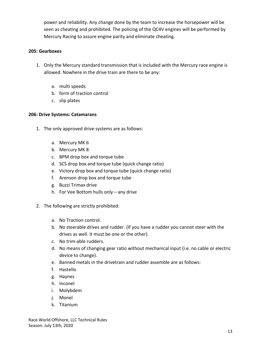power and reliability. Any change done by the team to increase the horsepower will be seen as cheating and prohibited. The policing of the QC4V engines will be performed by Mercury Racing to assure engine parity and eliminate cheating.

#### <span id="page-12-0"></span>**205: Gearboxes**

- 1. Only the Mercury standard transmission that is included with the Mercury race engine is allowed. Nowhere in the drive train are there to be any:
	- a. multi speeds
	- b. form of traction control
	- c. slip plates

#### <span id="page-12-1"></span>**206: Drive Systems: Catamarans**

- 1. The only approved drive systems are as follows:
	- a. Mercury MK 6
	- b. Mercury MK 8
	- c. BPM drop box and torque tube
	- d. SCS drop box and torque tube (quick change ratio)
	- e. Victory drop box and torque tube (quick change ratio)
	- f. Arenson drop box and torque tube
	- g. Buzzi Trimax drive
	- h. For Vee Bottom hulls only any drive
- 2. The following are strictly prohibited:
	- a. No Traction control.
	- b. No steerable drives and rudder. (If you have a rudder you cannot steer with the drives as well. It must be one or the other).
	- c. No trim-able rudders.
	- d. No means of changing gear ratio without mechanical input (i.e. no cable or electric device to change).
	- e. Banned metals in the drivetrain and rudder assemble are as follows:
	- f. Hastello
	- g. Haynes
	- h. Inconel
	- i. Molybdem
	- j. Monel
	- k. Titanium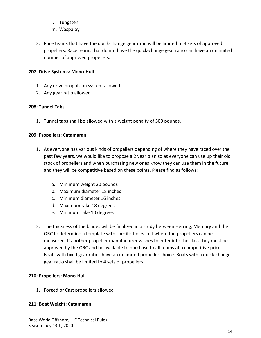- l. Tungsten
- m. Waspaloy
- 3. Race teams that have the quick-change gear ratio will be limited to 4 sets of approved propellers. Race teams that do not have the quick-change gear ratio can have an unlimited number of approved propellers.

# <span id="page-13-0"></span>**207: Drive Systems: Mono-Hull**

- 1. Any drive propulsion system allowed
- 2. Any gear ratio allowed

# <span id="page-13-1"></span>**208: Tunnel Tabs**

1. Tunnel tabs shall be allowed with a weight penalty of 500 pounds.

# <span id="page-13-2"></span>**209: Propellers: Catamaran**

- 1. As everyone has various kinds of propellers depending of where they have raced over the past few years, we would like to propose a 2 year plan so as everyone can use up their old stock of propellers and when purchasing new ones know they can use them in the future and they will be competitive based on these points. Please find as follows:
	- a. Minimum weight 20 pounds
	- b. Maximum diameter 18 inches
	- c. Minimum diameter 16 inches
	- d. Maximum rake 18 degrees
	- e. Minimum rake 10 degrees
- 2. The thickness of the blades will be finalized in a study between Herring, Mercury and the ORC to determine a template with specific holes in it where the propellers can be measured. If another propeller manufacturer wishes to enter into the class they must be approved by the ORC and be available to purchase to all teams at a competitive price. Boats with fixed gear ratios have an unlimited propeller choice. Boats with a quick-change gear ratio shall be limited to 4 sets of propellers.

# <span id="page-13-3"></span>**210: Propellers: Mono-Hull**

1. Forged or Cast propellers allowed

#### <span id="page-13-4"></span>**211: Boat Weight: Catamaran**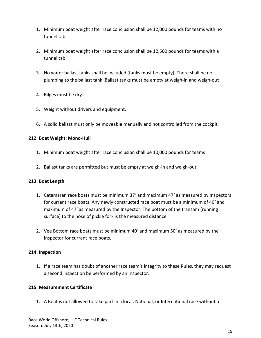- 1. Minimum boat weight after race conclusion shall be 12,000 pounds for teams with no tunnel tab.
- 2. Minimum boat weight after race conclusion shall be 12,500 pounds for teams with a tunnel tab.
- 3. No water ballast tanks shall be included (tanks must be empty). There shall be no plumbing to the ballast tank. Ballast tanks must be empty at weigh-in and weigh-out
- 4. Bilges must be dry.
- 5. Weight without drivers and equipment.
- 6. A solid ballast must only be moveable manually and not controlled from the cockpit.

### <span id="page-14-0"></span>**212: Boat Weight: Mono-Hull**

- 1. Minimum boat weight after race conclusion shall be 10,000 pounds for teams
- 2. Ballast tanks are permitted but must be empty at weigh-in and weigh-out

#### <span id="page-14-1"></span>**213: Boat Length**

- 1. Catamaran race boats must be minimum 37' and maximum 47' as measured by Inspectors for current race boats. Any newly constructed race boat must be a minimum of 40' and maximum of 47' as measured by the Inspector. The bottom of the transom (running surface) to the nose of pickle fork is the measured distance.
- 2. Vee Bottom race boats must be minimum 40' and maximum 50' as measured by the Inspector for current race boats.

#### <span id="page-14-2"></span>**214: Inspection**

1. If a race team has doubt of another race team's integrity to these Rules, they may request a second inspection be performed by an Inspector.

#### <span id="page-14-3"></span>**215: Measurement Certificate**

1. A Boat is not allowed to take part in a local, National, or International race without a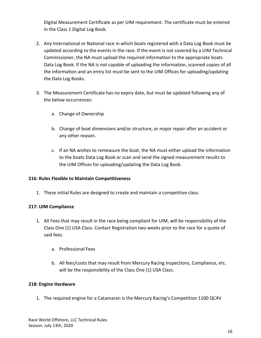Digital Measurement Certificate as per UIM requirement. The certificate must be entered in the Class 1 Digital Log Book.

- 2. Any International or National race in which boats registered with a Data Log Book must be updated according to the events in the race. If the event is not covered by a UIM Technical Commissioner, the NA must upload the required information to the appropriate boats Data Log Book. If the NA is not capable of uploading the information, scanned copies of all the information and an entry list must be sent to the UIM Offices for uploading/updating the Data Log Books.
- 3. The Measurement Certificate has no expiry date, but must be updated following any of the below occurrences:
	- a. Change of Ownership
	- b. Change of boat dimensions and/or structure, or major repair after an accident or any other reason.
	- c. If an NA wishes to remeasure the boat, the NA must either upload the information to the boats Data Log Book or scan and send the signed measurement results to the UIM Offices for uploading/updating the Data Log Book.

# <span id="page-15-0"></span>**216: Rules Flexible to Maintain Competitiveness**

1. These initial Rules are designed to create and maintain a competitive class.

# <span id="page-15-1"></span>**217: UIM Compliance**

- 1. All Fees that may result in the race being compliant for UIM, will be responsibility of the Class One (1) USA Class. Contact Registration two weeks prior to the race for a quote of said fees.
	- a. Professional Fees
	- b. All fees/costs that may result from Mercury Racing Inspections, Compliance, etc. will be the responsibility of the Class One (1) USA Class.

#### <span id="page-15-2"></span>**218: Engine Hardware**

1. The required engine for a Catamaran is the Mercury Racing's Competition 1100 QC4V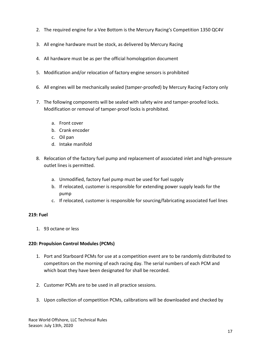- 2. The required engine for a Vee Bottom is the Mercury Racing's Competition 1350 QC4V
- 3. All engine hardware must be stock, as delivered by Mercury Racing
- 4. All hardware must be as per the official homologation document
- 5. Modification and/or relocation of factory engine sensors is prohibited
- 6. All engines will be mechanically sealed (tamper-proofed) by Mercury Racing Factory only
- 7. The following components will be sealed with safety wire and tamper-proofed locks. Modification or removal of tamper-proof locks is prohibited.
	- a. Front cover
	- b. Crank encoder
	- c. Oil pan
	- d. Intake manifold
- 8. Relocation of the factory fuel pump and replacement of associated inlet and high-pressure outlet lines is permitted.
	- a. Unmodified, factory fuel pump must be used for fuel supply
	- b. If relocated, customer is responsible for extending power supply leads for the pump
	- c. If relocated, customer is responsible for sourcing/fabricating associated fuel lines

#### <span id="page-16-0"></span>**219: Fuel**

1. 93 octane or less

#### <span id="page-16-1"></span>**220: Propulsion Control Modules (PCMs)**

- 1. Port and Starboard PCMs for use at a competition event are to be randomly distributed to competitors on the morning of each racing day. The serial numbers of each PCM and which boat they have been designated for shall be recorded.
- 2. Customer PCMs are to be used in all practice sessions.
- 3. Upon collection of competition PCMs, calibrations will be downloaded and checked by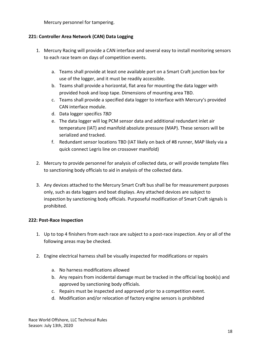Mercury personnel for tampering.

### <span id="page-17-0"></span>**221: Controller Area Network (CAN) Data Logging**

- 1. Mercury Racing will provide a CAN interface and several easy to install monitoring sensors to each race team on days of competition events.
	- a. Teams shall provide at least one available port on a Smart Craft junction box for use of the logger, and it must be readily accessible.
	- b. Teams shall provide a horizontal, flat area for mounting the data logger with provided hook and loop tape. Dimensions of mounting area TBD.
	- c. Teams shall provide a specified data logger to interface with Mercury's provided CAN interface module.
	- d. Data logger specifics *TBD*
	- e. The data logger will log PCM sensor data and additional redundant inlet air temperature (IAT) and manifold absolute pressure (MAP). These sensors will be serialized and tracked.
	- f. Redundant sensor locations TBD (IAT likely on back of #8 runner, MAP likely via a quick connect Legris line on crossover manifold)
- 2. Mercury to provide personnel for analysis of collected data, or will provide template files to sanctioning body officials to aid in analysis of the collected data.
- 3. Any devices attached to the Mercury Smart Craft bus shall be for measurement purposes only, such as data loggers and boat displays. Any attached devices are subject to inspection by sanctioning body officials. Purposeful modification of Smart Craft signals is prohibited.

#### <span id="page-17-1"></span>**222: Post-Race Inspection**

- 1. Up to top 4 finishers from each race are subject to a post-race inspection. Any or all of the following areas may be checked.
- 2. Engine electrical harness shall be visually inspected for modifications or repairs
	- a. No harness modifications allowed
	- b. Any repairs from incidental damage must be tracked in the official log book(s) and approved by sanctioning body officials.
	- c. Repairs must be inspected and approved prior to a competition event.
	- d. Modification and/or relocation of factory engine sensors is prohibited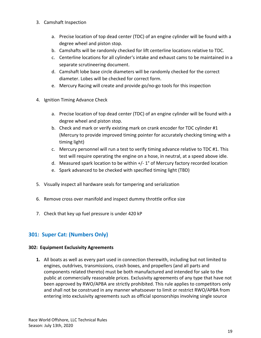- 3. Camshaft Inspection
	- a. Precise location of top dead center (TDC) of an engine cylinder will be found with a degree wheel and piston stop.
	- b. Camshafts will be randomly checked for lift centerline locations relative to TDC.
	- c. Centerline locations for all cylinder's intake and exhaust cams to be maintained in a separate scrutineering document.
	- d. Camshaft lobe base circle diameters will be randomly checked for the correct diameter. Lobes will be checked for correct form.
	- e. Mercury Racing will create and provide go/no-go tools for this inspection
- 4. Ignition Timing Advance Check
	- a. Precise location of top dead center (TDC) of an engine cylinder will be found with a degree wheel and piston stop.
	- b. Check and mark or verify existing mark on crank encoder for TDC cylinder #1 (Mercury to provide improved timing pointer for accurately checking timing with a timing light)
	- c. Mercury personnel will run a test to verify timing advance relative to TDC #1. This test will require operating the engine on a hose, in neutral, at a speed above idle.
	- d. Measured spark location to be within +/- 1° of Mercury factory recorded location
	- e. Spark advanced to be checked with specified timing light (TBD)
- 5. Visually inspect all hardware seals for tampering and serialization
- 6. Remove cross over manifold and inspect dummy throttle orifice size
- 7. Check that key up fuel pressure is under 420 kP

# <span id="page-18-0"></span>**301: Super Cat: (Numbers Only)**

#### <span id="page-18-1"></span>**302: Equipment Exclusivity Agreements**

**1.** All boats as well as every part used in connection therewith, including but not limited to engines, outdrives, transmissions, crash boxes, and propellers (and all parts and components related thereto) must be both manufactured and intended for sale to the public at commercially reasonable prices. Exclusivity agreements of any type that have not been approved by RWO/APBA are strictly prohibited. This rule applies to competitors only and shall not be construed in any manner whatsoever to limit or restrict RWO/APBA from entering into exclusivity agreements such as official sponsorships involving single source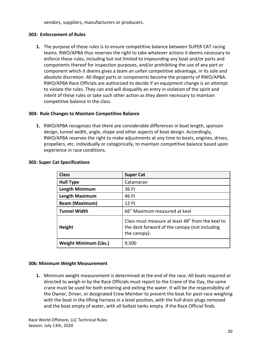vendors, suppliers, manufacturers or producers.

#### <span id="page-19-0"></span>**303: Enforcement of Rules**

**1.** The purpose of these rules is to ensure competitive balance between SUPER CAT racing teams. RWO/APBA thus reserves the right to take whatever actions it deems necessary to enforce these rules, including but not limited to impounding any boat and/or parts and components thereof for inspection purposes, and/or prohibiting the use of any part or component which it deems gives a team an unfair competitive advantage, in its sole and absolute discretion. All illegal parts or components become the property of RWO/APBA. RWO/APBA Race Officials are authorized to decide if an equipment change is an attempt to violate the rules. They can and will disqualify an entry in violation of the spirit and intent of these rules or take such other action as they deem necessary to maintain competitive balance in the class.

#### <span id="page-19-1"></span>**304: Rule Changes to Maintain Competitive Balance**

**1.** RWO/APBA recognizes that there are considerable differences in boat length, sponson design, tunnel width, angle, shape and other aspects of boat design. Accordingly, RWO/APBA reserves the right to make adjustments at any time to boats, engines, drives, propellers, etc. individually or categorically, to maintain competitive balance based upon experience in race conditions.

| <b>Class</b>                 | <b>Super Cat</b>                                                                                                  |
|------------------------------|-------------------------------------------------------------------------------------------------------------------|
| <b>Hull Type</b>             | Catamaran                                                                                                         |
| Length Minimum               | 36 Ft                                                                                                             |
| <b>Length Maximum</b>        | 46 Ft                                                                                                             |
| <b>Beam (Maximum)</b>        | 12 Ft.                                                                                                            |
| <b>Tunnel Width</b>          | 66" Maximum measured at keel                                                                                      |
| <b>Height</b>                | Class must measure at least 48" from the keel to<br>the deck forward of the canopy (not including<br>the canopy). |
| <b>Weight Minimum (Lbs.)</b> | 9,500                                                                                                             |

#### <span id="page-19-2"></span>**305: Super Cat Specifications**

#### <span id="page-19-3"></span>**306: Minimum Weight Measurement**

**1.** Minimum weight measurement is determined at the end of the race. All boats required or directed to weigh-in by the Race Officials must report to the Crane of the Day, the same crane must be used for both entering and exiting the water. It will be the responsibility of the Owner, Driver, or designated Crew Member to present the boat for post-race weighing with the boat in the lifting harness in a level position, with the hull drain plugs removed and the boat empty of water, with all ballast tanks empty. If the Race Official finds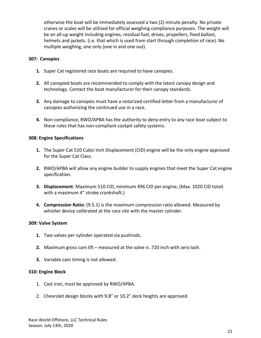otherwise the boat will be immediately assessed a two (2) minute penalty. No private cranes or scales will be utilized for official weighing compliance purposes. The weight will be an all-up weight including engines, residual fuel, drives, propellers, fixed ballast, helmets and jackets. (i.e. that which is used from start through completion of race). No multiple weighing, one only (one in and one out).

#### <span id="page-20-0"></span>**307: Canopies**

- **1.** Super Cat registered race boats are required to have canopies.
- **2.** All canopied boats are recommended to comply with the latest canopy design and technology. Contact the boat manufacturer for their canopy standards.
- **3.** Any damage to canopies must have a notarized certified letter from a manufacturer of canopies authorizing the continued use in a race.
- **4.** Non-compliance, RWO/APBA has the authority to deny entry to any race boat subject to these rules that has non-compliant cockpit safety systems.

#### <span id="page-20-1"></span>**308: Engine Specifications**

- **1.** The Super Cat 510 Cubic Inch Displacement (CID) engine will be the only engine approved for the Super Cat Class.
- **2.** RWO/APBA will allow any engine builder to supply engines that meet the Super Cat engine specification.
- **3. Displacement**: Maximum 510 CID, minimum 496 CID per engine, (Max. 1020 CID total) with a maximum 4" stroke crankshaft.)
- **4. Compression Ratio**: (9.5.1) is the maximum compression ratio allowed. Measured by whistler device calibrated at the race site with the master cylinder.

#### <span id="page-20-2"></span>**309: Valve System**

- **1.** Two valves per cylinder operated via pushrods.
- **2.** Maximum gross cam lift measured at the valve is .720 inch with zero lash.
- **3.** Variable cam timing is not allowed.

#### <span id="page-20-3"></span>**310: Engine Block**

- 1. Cast iron, must be approved by RWO/APBA.
- 2. Chevrolet design blocks with 9.8" or 10.2" deck heights are approved.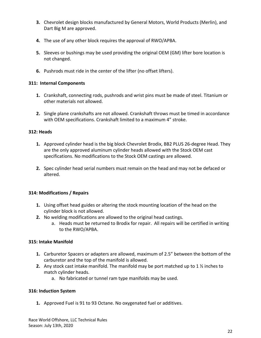- **3.** Chevrolet design blocks manufactured by General Motors, World Products (Merlin), and Dart Big M are approved.
- **4.** The use of any other block requires the approval of RWO/APBA.
- **5.** Sleeves or bushings may be used providing the original OEM (GM) lifter bore location is not changed.
- **6.** Pushrods must ride in the center of the lifter (no offset lifters).

### <span id="page-21-0"></span>**311: Internal Components**

- **1.** Crankshaft, connecting rods, pushrods and wrist pins must be made of steel. Titanium or other materials not allowed.
- **2.** Single plane crankshafts are not allowed. Crankshaft throws must be timed in accordance with OEM specifications. Crankshaft limited to a maximum 4" stroke.

### <span id="page-21-1"></span>**312: Heads**

- **1.** Approved cylinder head is the big block Chevrolet Brodix, BB2 PLUS 26-degree Head. They are the only approved aluminum cylinder heads allowed with the Stock OEM cast specifications. No modifications to the Stock OEM castings are allowed.
- **2.** Spec cylinder head serial numbers must remain on the head and may not be defaced or altered.

# <span id="page-21-2"></span>**314: Modifications / Repairs**

- **1.** Using offset head guides or altering the stock mounting location of the head on the cylinder block is not allowed.
- **2.** No welding modifications are allowed to the original head castings.
	- a. Heads must be returned to Brodix for repair. All repairs will be certified in writing to the RWO/APBA.

# <span id="page-21-3"></span>**315: Intake Manifold**

- **1.** Carburetor Spacers or adapters are allowed, maximum of 2.5" between the bottom of the carburetor and the top of the manifold is allowed.
- **2.** Any stock cast intake manifold. The manifold may be port matched up to 1 ½ inches to match cylinder heads.
	- a. No fabricated or tunnel ram type manifolds may be used.

# <span id="page-21-4"></span>**316: Induction System**

**1.** Approved Fuel is 91 to 93 Octane. No oxygenated fuel or additives.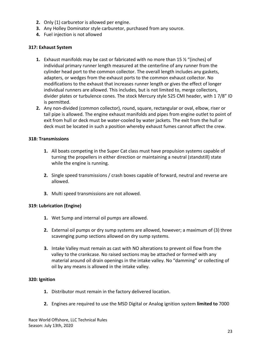- **2.** Only (1) carburetor is allowed per engine.
- **3.** Any Holley Dominator style carburetor, purchased from any source.
- **4.** Fuel injection is not allowed

#### <span id="page-22-0"></span>**317: Exhaust System**

- **1.** Exhaust manifolds may be cast or fabricated with no more than 15 ½ "(inches) of individual primary runner length measured at the centerline of any runner from the cylinder head port to the common collector. The overall length includes any gaskets, adapters, or wedges from the exhaust ports to the common exhaust collector. No modifications to the exhaust that increases runner length or gives the effect of longer individual runners are allowed. This includes, but is not limited to, merge collectors, divider plates or turbulence cones. The stock Mercury style 525 CMI header, with 1 7/8" ID is permitted.
- **2.** Any non-divided (common collector), round, square, rectangular or oval, elbow, riser or tail pipe is allowed. The engine exhaust manifolds and pipes from engine outlet to point of exit from hull or deck must be water-cooled by water jackets. The exit from the hull or deck must be located in such a position whereby exhaust fumes cannot affect the crew.

#### <span id="page-22-1"></span>**318: Transmissions**

- **1.** All boats competing in the Super Cat class must have propulsion systems capable of turning the propellers in either direction or maintaining a neutral (standstill) state while the engine is running.
- **2.** Single speed transmissions / crash boxes capable of forward, neutral and reverse are allowed.
- **3.** Multi speed transmissions are not allowed.

# <span id="page-22-2"></span>**319: Lubrication (Engine)**

- **1.** Wet Sump and internal oil pumps are allowed.
- **2.** External oil pumps or dry sump systems are allowed, however; a maximum of (3) three scavenging pump sections allowed on dry sump systems.
- **3.** Intake Valley must remain as cast with NO alterations to prevent oil flow from the valley to the crankcase. No raised sections may be attached or formed with any material around oil drain openings in the intake valley. No "damming" or collecting of oil by any means is allowed in the intake valley.

#### <span id="page-22-3"></span>**320: Ignition**

- **1.** Distributor must remain in the factory delivered location.
- **2.** Engines are required to use the MSD Digital or Analog ignition system **limited to** 7000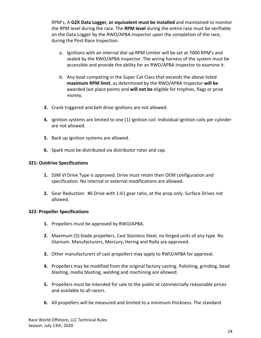RPM's, A **G2X Data Logger, or equivalent must be installed** and maintained to monitor the RPM level during the race. The **RPM level** during the entire race must be verifiable on the Data Logger by the RWO/APBA Inspector upon the completion of the race, during the Post-Race Inspection.

- a. Ignitions with an internal dial up RPM Limiter will be set at 7000 RPM's and sealed by the RWO/APBA Inspector. The wiring harness of the system must be accessible and provide the ability for an RWO/APBA Inspector to examine it.
- b. Any boat competing in the Super Cat Class that exceeds the above listed **maximum RPM limit**, as determined by the RWO/APBA Inspector **will be** awarded last place points and **will not be** eligible for trophies, flags or prize money.
- **3.** Crank triggered and belt drive ignitions are not allowed.
- **4.** Ignition systems are limited to one (1) ignition coil. Individual ignition coils per cylinder are not allowed.
- **5.** Back up ignition systems are allowed.
- **6.** Spark must be distributed via distributor rotor and cap.

#### <span id="page-23-0"></span>**321: Outdrive Specifications**

- **1.** SSM VI Drive Type is approved. Drive must retain their OEM configuration and specification. No internal or external modifications are allowed.
- **2.** Gear Reduction: #6 Drive with 1:61 gear ratio, at the prop only. Surface Drives not allowed.

#### <span id="page-23-1"></span>**322: Propeller Specifications**

- **1.** Propellers must be approved by RWO/APBA.
- **2.** Maximum (5) blade propellers, Cast Stainless Steel, no forged units of any type. No titanium. Manufacturers, Mercury, Hering and Rolla are approved.
- **3.** Other manufacturers of cast propellers may apply to RWO/APBA for approval.
- **4.** Propellers may be modified from the original factory casting. Polishing, grinding, bead blasting, media blasting, welding and machining are allowed.
- **5.** Propellers must be intended for sale to the public at commercially reasonable prices and available to all racers.
- **6.** All propellers will be measured and limited to a minimum thickness. The standard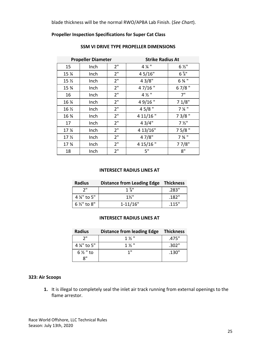blade thickness will be the normal RWO/APBA Lab Finish. (*See Chart*).

### **Propeller Inspection Specifications for Super Cat Class**

| <b>Propeller Diameter</b> |      | <b>Strike Radius At</b> |                  |                  |
|---------------------------|------|-------------------------|------------------|------------------|
| 15                        | Inch | 2"                      | 4 % "            | $6\frac{1}{2}$   |
| 15 %                      | Inch | 2"                      | 4 5/16"          | $6\frac{5}{8}$   |
| 15 <sub>2</sub>           | Inch | 2 <sup>''</sup>         | 43/8"            | 6 % "            |
| 15 %                      | Inch | 2 <sup>''</sup>         | $47/16$ "        | $67/8$ "         |
| 16                        | Inch | 2"                      | $4\frac{1}{2}$ " | 7"               |
| 16 %                      | Inch | 2"                      | 49/16"           | 71/8"            |
| 16 $\frac{1}{2}$          | Inch | 2"                      | $45/8$ "         | $7\frac{1}{4}$ " |
| 16 %                      | Inch | 2"                      | 4 11/16"         | $73/8$ "         |
| 17                        | Inch | 2 <sup>''</sup>         | 43/4"            | $7\frac{1}{2}$ " |
| 17 <sub>4</sub>           | Inch | 2"                      | 4 13/16"         | $75/8$ "         |
| 17 <sub>2</sub>           | Inch | 2"                      | 47/8"            | $73/4$ "         |
| 17 %                      | Inch | 2"                      | 4 15/16"         | 77/8"            |
| 18                        | Inch | 2 <sup>11</sup>         | 5"               | 8"               |

#### **SSM VI DRIVE TYPE PROPELLER DIMENSIONS**

#### **INTERSECT RADIUS LINES AT**

| <b>Radius</b>          | Distance from Leading Edge Thickness |       |
|------------------------|--------------------------------------|-------|
| ייר                    | $1\%$ "                              | .283" |
| 4 %" to 5"             | $1\frac{1}{2}$                       | .182" |
| $6\frac{1}{2}$ " to 8" | $1 - 11/16"$                         | .115" |

#### **INTERSECT RADIUS LINES AT**

| <b>Radius</b>       | Distance from leading Edge Thickness |       |
|---------------------|--------------------------------------|-------|
| יי כ                | $1\frac{1}{2}$                       | .475" |
| 4 %" to 5"          | $1\frac{1}{2}$                       | .302" |
| $6\frac{1}{2}$ " to | 1"                                   | .130" |
| יי &                |                                      |       |

#### <span id="page-24-0"></span>**323: Air Scoops**

**1.** It is illegal to completely seal the inlet air track running from external openings to the flame arrestor.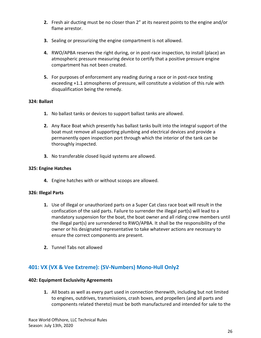- **2.** Fresh air ducting must be no closer than 2" at its nearest points to the engine and/or flame arrestor.
- **3.** Sealing or pressurizing the engine compartment is not allowed.
- **4.** RWO/APBA reserves the right during, or in post-race inspection, to install (place) an atmospheric pressure measuring device to certify that a positive pressure engine compartment has not been created.
- **5.** For purposes of enforcement any reading during a race or in post-race testing exceeding +1.1 atmospheres of pressure, will constitute a violation of this rule with disqualification being the remedy.

#### <span id="page-25-0"></span>**324: Ballast**

- **1.** No ballast tanks or devices to support ballast tanks are allowed.
- **2.** Any Race Boat which presently has ballast tanks built into the integral support of the boat must remove all supporting plumbing and electrical devices and provide a permanently open inspection port through which the interior of the tank can be thoroughly inspected.
- **3.** No transferable closed liquid systems are allowed.

#### <span id="page-25-1"></span>**325: Engine Hatches**

**4.** Engine hatches with or without scoops are allowed.

#### <span id="page-25-2"></span>**326: Illegal Parts**

- **1.** Use of illegal or unauthorized parts on a Super Cat class race boat will result in the confiscation of the said parts. Failure to surrender the illegal part(s) will lead to a mandatory suspension for the boat, the boat owner and all riding crew members until the illegal part(s) are surrendered to RWO/APBA. It shall be the responsibility of the owner or his designated representative to take whatever actions are necessary to ensure the correct components are present.
- **2.** Tunnel Tabs not allowed

# <span id="page-25-4"></span><span id="page-25-3"></span>**401: VX (VX & Vee Extreme): (SV-Numbers) Mono-Hull Only2**

#### **402: Equipment Exclusivity Agreements**

**1.** All boats as well as every part used in connection therewith, including but not limited to engines, outdrives, transmissions, crash boxes, and propellers (and all parts and components related thereto) must be both manufactured and intended for sale to the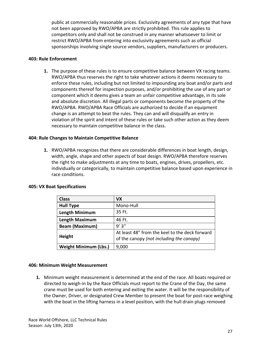public at commercially reasonable prices. Exclusivity agreements of any type that have not been approved by RWO/APBA are strictly prohibited. This rule applies to competitors only and shall not be construed in any manner whatsoever to limit or restrict RWO/APBA from entering into exclusivity agreements such as official sponsorships involving single source vendors, suppliers, manufacturers or producers.

#### <span id="page-26-0"></span>**403: Rule Enforcement**

**1.** The purpose of these rules is to ensure competitive balance between VX racing teams. RWO/APBA thus reserves the right to take whatever actions it deems necessary to enforce these rules, including but not limited to impounding any boat and/or parts and components thereof for inspection purposes, and/or prohibiting the use of any part or component which it deems gives a team an unfair competitive advantage, in its sole and absolute discretion. All illegal parts or components become the property of the RWO/APBA. RWO/APBA Race Officials are authorized to decide if an equipment change is an attempt to beat the rules. They can and will disqualify an entry in violation of the spirit and intent of these rules or take such other action as they deem necessary to maintain competitive balance in the class.

#### <span id="page-26-1"></span>**404: Rule Changes to Maintain Competitive Balance**

**1.** RWO/APBA recognizes that there are considerable differences in boat length, design, width, angle, shape and other aspects of boat design. RWO/APBA therefore reserves the right to make adjustments at any time to boats, engines, drives, propellers, etc. individually or categorically, to maintain competitive balance based upon experience in race conditions.

| <b>Class</b>                 | VX                                                                                         |
|------------------------------|--------------------------------------------------------------------------------------------|
| <b>Hull Type</b>             | Mono-Hull                                                                                  |
| <b>Length Minimum</b>        | 35 Ft.                                                                                     |
| <b>Length Maximum</b>        | 46 Ft.                                                                                     |
| <b>Beam (Maximum)</b>        | 9'3''                                                                                      |
| Height                       | At least 48" from the keel to the deck forward<br>of the canopy (not including the canopy) |
| <b>Weight Minimum (Lbs.)</b> | 9,000                                                                                      |

#### <span id="page-26-2"></span>**405: VX Boat Specifications**

#### <span id="page-26-3"></span>**406: Minimum Weight Measurement**

**1.** Minimum weight measurement is determined at the end of the race. All boats required or directed to weigh-in by the Race Officials must report to the Crane of the Day, the same crane must be used for both entering and exiting the water. It will be the responsibility of the Owner, Driver, or designated Crew Member to present the boat for post-race weighing with the boat in the lifting harness in a level position, with the hull drain plugs removed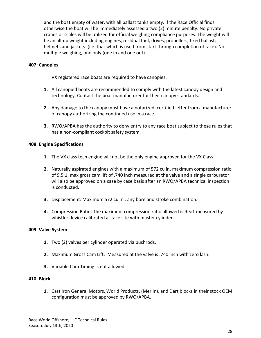and the boat empty of water, with all ballast tanks empty. If the Race Official finds otherwise the boat will be immediately assessed a two (2) minute penalty. No private cranes or scales will be utilized for official weighing compliance purposes. The weight will be an all-up weight including engines, residual fuel, drives, propellers, fixed ballast, helmets and jackets. (i.e. that which is used from start through completion of race). No multiple weighing, one only (one in and one out).

#### <span id="page-27-0"></span>**407: Canopies**

VX registered race boats are required to have canopies.

- **1.** All canopied boats are recommended to comply with the latest canopy design and technology. Contact the boat manufacturer for their canopy standards.
- **2.** Any damage to the canopy must have a notarized, certified letter from a manufacturer of canopy authorizing the continued use in a race.
- **3.** RWO/APBA has the authority to deny entry to any race boat subject to these rules that has a non-compliant cockpit safety system.

#### <span id="page-27-1"></span>**408: Engine Specifications**

- **1.** The VX class tech engine will not be the only engine approved for the VX Class.
- **2.** Naturally aspirated engines with a maximum of 572 cu in, maximum compression ratio of 9.5:1, max gross cam lift of .740 inch measured at the valve and a single carburetor will also be approved on a case by case basis after an RWO/APBA technical inspection is conducted.
- **3.** Displacement: Maximum 572 cu in., any bore and stroke combination.
- **4.** Compression Ratio: The maximum compression ratio allowed is 9.5:1 measured by whistler device calibrated at race site with master cylinder.

#### <span id="page-27-2"></span>**409: Valve System**

- **1.** Two (2) valves per cylinder operated via pushrods.
- **2.** Maximum Gross Cam Lift: Measured at the valve is .740 inch with zero lash.
- **3.** Variable Cam Timing is not allowed.

#### <span id="page-27-3"></span>**410: Block**

**1.** Cast iron General Motors, World Products, (Merlin), and Dart blocks in their stock OEM configuration must be approved by RWO/APBA.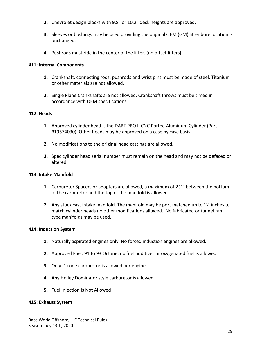- **2.** Chevrolet design blocks with 9.8" or 10.2" deck heights are approved.
- **3.** Sleeves or bushings may be used providing the original OEM (GM) lifter bore location is unchanged.
- **4.** Pushrods must ride in the center of the lifter. (no offset lifters).

### <span id="page-28-0"></span>**411: Internal Components**

- **1.** Crankshaft, connecting rods, pushrods and wrist pins must be made of steel. Titanium or other materials are not allowed.
- **2.** Single Plane Crankshafts are not allowed. Crankshaft throws must be timed in accordance with OEM specifications.

### <span id="page-28-1"></span>**412: Heads**

- **1.** Approved cylinder head is the DART PRO I, CNC Ported Aluminum Cylinder (Part #19574030). Other heads may be approved on a case by case basis.
- **2.** No modifications to the original head castings are allowed.
- **3.** Spec cylinder head serial number must remain on the head and may not be defaced or altered.

#### <span id="page-28-2"></span>**413: Intake Manifold**

- **1.** Carburetor Spacers or adapters are allowed, a maximum of 2 ½" between the bottom of the carburetor and the top of the manifold is allowed.
- **2.** Any stock cast intake manifold. The manifold may be port matched up to 1½ inches to match cylinder heads no other modifications allowed. No fabricated or tunnel ram type manifolds may be used.

#### <span id="page-28-3"></span>**414: Induction System**

- **1.** Naturally aspirated engines only. No forced induction engines are allowed.
- **2.** Approved Fuel: 91 to 93 Octane, no fuel additives or oxygenated fuel is allowed.
- **3.** Only (1) one carburetor is allowed per engine.
- **4.** Any Holley Dominator style carburetor is allowed.
- **5.** Fuel Injection Is Not Allowed

#### <span id="page-28-4"></span>**415: Exhaust System**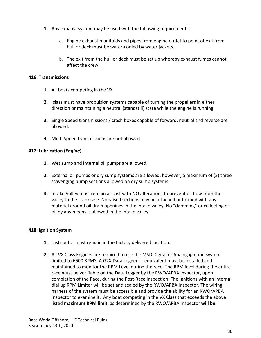- **1.** Any exhaust system may be used with the following requirements:
	- a. Engine exhaust manifolds and pipes from engine outlet to point of exit from hull or deck must be water-cooled by water jackets.
	- b. The exit from the hull or deck must be set up whereby exhaust fumes cannot affect the crew.

#### <span id="page-29-0"></span>**416: Transmissions**

- **1.** All boats competing in the VX
- **2.** class must have propulsion systems capable of turning the propellers in either direction or maintaining a neutral (standstill) state while the engine is running.
- **3.** Single Speed transmissions / crash boxes capable of forward, neutral and reverse are allowed.
- **4.** Multi Speed transmissions are not allowed

#### <span id="page-29-1"></span>**417: Lubrication (***Engine***)**

- **1.** Wet sump and internal oil pumps are allowed.
- **2.** External oil pumps or dry sump systems are allowed, however, a maximum of (3) three scavenging pump sections allowed on dry sump systems.
- **3.** Intake Valley must remain as cast with NO alterations to prevent oil flow from the valley to the crankcase. No raised sections may be attached or formed with any material around oil drain openings in the intake valley. No "damming" or collecting of oil by any means is allowed in the intake valley.

#### <span id="page-29-2"></span>**418: Ignition System**

- **1.** Distributor must remain in the factory delivered location.
- **2.** All VX Class Engines are required to use the MSD Digital or Analog ignition system, limited to 6600 RPMS. A G2X Data Logger or equivalent must be installed and maintained to monitor the RPM Level during the race. The RPM level during the entire race must be verifiable on the Data Logger by the RWO/APBA Inspector, upon completion of the Race, during the Post-Race Inspection. The Ignitions with an internal dial up RPM Limiter will be set and sealed by the RWO/APBA Inspector. The wiring harness of the system must be accessible and provide the ability for an RWO/APBA Inspector to examine it. Any boat competing in the VX Class that exceeds the above listed **maximum RPM limit**, as determined by the RWO/APBA Inspector **will be**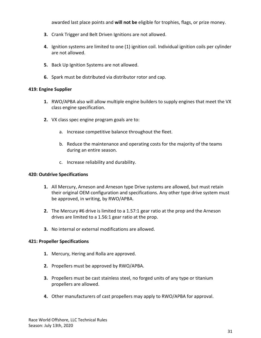awarded last place points and **will not be** eligible for trophies, flags, or prize money.

- **3.** Crank Trigger and Belt Driven Ignitions are not allowed.
- **4.** Ignition systems are limited to one (1) ignition coil. Individual ignition coils per cylinder are not allowed.
- **5.** Back Up Ignition Systems are not allowed.
- **6.** Spark must be distributed via distributor rotor and cap.

#### <span id="page-30-0"></span>**419: Engine Supplier**

- **1.** RWO/APBA also will allow multiple engine builders to supply engines that meet the VX class engine specification.
- **2.** VX class spec engine program goals are to:
	- a. Increase competitive balance throughout the fleet.
	- b. Reduce the maintenance and operating costs for the majority of the teams during an entire season.
	- c. Increase reliability and durability.

#### <span id="page-30-1"></span>**420: Outdrive Specifications**

- **1.** All Mercury, Arneson and Arneson type Drive systems are allowed, but must retain their original OEM configuration and specifications. Any other type drive system must be approved, in writing, by RWO/APBA.
- **2.** The Mercury #6 drive is limited to a 1.57:1 gear ratio at the prop and the Arneson drives are limited to a 1.56:1 gear ratio at the prop.
- **3.** No internal or external modifications are allowed.

#### <span id="page-30-2"></span>**421: Propeller Specifications**

- **1.** Mercury, Hering and Rolla are approved.
- **2.** Propellers must be approved by RWO/APBA.
- **3.** Propellers must be cast stainless steel, no forged units of any type or titanium propellers are allowed.
- **4.** Other manufacturers of cast propellers may apply to RWO/APBA for approval.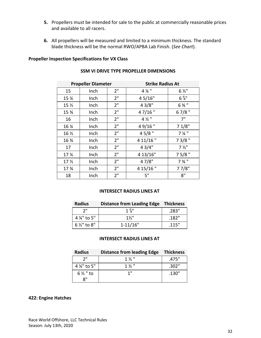- **5.** Propellers must be intended for sale to the public at commercially reasonable prices and available to all racers.
- **6.** All propellers will be measured and limited to a minimum thickness. The standard blade thickness will be the normal RWO/APBA Lab Finish. (*See Chart*).

#### **Propeller Inspection Specifications for VX Class**

| <b>Propeller Diameter</b>      |      |                 | <b>Strike Radius At</b> |                  |  |
|--------------------------------|------|-----------------|-------------------------|------------------|--|
| 15                             | Inch | 2"              | 4 % "                   | $6\frac{1}{2}$   |  |
| 15 %                           | Inch | 2"              | 45/16"                  | $6\frac{5}{8}$   |  |
| 15 $\frac{1}{2}$               | Inch | 2 <sup>''</sup> | 43/8"                   | 6 % "            |  |
| 15 %                           | Inch | 2"              | 47/16"                  | $67/8$ "         |  |
| 16                             | Inch | 2"              | $4\frac{1}{2}$ "        | 7"               |  |
| 16 %                           | Inch | 2"              | $49/16$ "               | 71/8"            |  |
| 16 $\frac{1}{2}$               | Inch | 2"              | $45/8$ "                | $7\frac{1}{4}$ " |  |
| 16 %                           | Inch | 2"              | 4 11/16"                | $73/8$ "         |  |
| 17                             | Inch | 2 <sup>''</sup> | 43/4"                   | $7\frac{1}{2}$ " |  |
| 17 <sub>4</sub>                | Inch | 2"              | 4 13/16"                | 75/8"            |  |
| 17 <sub>2</sub>                | Inch | 2"              | 4 7/8"                  | 7 3/4 "          |  |
| 17 <sup>3</sup> / <sub>4</sub> | Inch | 2"              | 4 15/16"<br>77/8"       |                  |  |
| 18                             | Inch | 2"              | 5"                      | 8"               |  |

#### **SSM VI DRIVE TYPE PROPELLER DIMENSIONS**

#### **INTERSECT RADIUS LINES AT**

| <b>Radius</b>          | <b>Distance from Leading Edge Thickness</b> |       |  |
|------------------------|---------------------------------------------|-------|--|
| ייר                    | $1\frac{3}{8}$                              | .283" |  |
| 4 %" to 5"             | $1\frac{1}{2}$                              | .182" |  |
| $6\frac{1}{2}$ " to 8" | $1 - 11/16"$                                | .115" |  |

#### **INTERSECT RADIUS LINES AT**

| <b>Radius</b>              | <b>Distance from leading Edge</b> | <b>Thickness</b> |
|----------------------------|-----------------------------------|------------------|
| ייר                        | $1\frac{1}{2}$                    | .475"            |
| 4 %" to 5"                 | $1\frac{1}{2}$                    | .302"            |
| $6\frac{1}{2}$ " to        | 1"                                | .130"            |
| $\mathsf{R}^{\mathsf{II}}$ |                                   |                  |

#### <span id="page-31-0"></span>**422: Engine Hatches**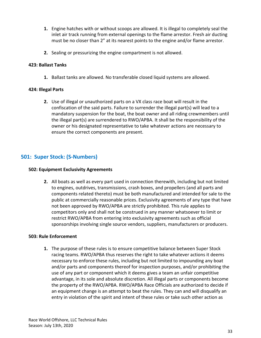- **1.** Engine hatches with or without scoops are allowed. It is illegal to completely seal the inlet air track running from external openings to the flame arrestor. Fresh air ducting must be no closer than 2" at its nearest points to the engine and/or flame arrestor.
- **2.** Sealing or pressurizing the engine compartment is not allowed.

#### <span id="page-32-0"></span>**423: Ballast Tanks**

**1.** Ballast tanks are allowed. No transferable closed liquid systems are allowed.

#### <span id="page-32-1"></span>**424: Illegal Parts**

**2.** Use of illegal or unauthorized parts on a VX class race boat will result in the confiscation of the said parts. Failure to surrender the illegal part(s) will lead to a mandatory suspension for the boat, the boat owner and all riding crewmembers until the illegal part(s) are surrendered to RWO/APBA. It shall be the responsibility of the owner or his designated representative to take whatever actions are necessary to ensure the correct components are present.

# <span id="page-32-2"></span>**501: Super Stock: (S-Numbers)**

#### <span id="page-32-3"></span>**502: Equipment Exclusivity Agreements**

**2.** All boats as well as every part used in connection therewith, including but not limited to engines, outdrives, transmissions, crash boxes, and propellers (and all parts and components related thereto) must be both manufactured and intended for sale to the public at commercially reasonable prices. Exclusivity agreements of any type that have not been approved by RWO/APBA are strictly prohibited. This rule applies to competitors only and shall not be construed in any manner whatsoever to limit or restrict RWO/APBA from entering into exclusivity agreements such as official sponsorships involving single source vendors, suppliers, manufacturers or producers.

#### <span id="page-32-4"></span>**503: Rule Enforcement**

**1.** The purpose of these rules is to ensure competitive balance between Super Stock racing teams. RWO/APBA thus reserves the right to take whatever actions it deems necessary to enforce these rules, including but not limited to impounding any boat and/or parts and components thereof for inspection purposes, and/or prohibiting the use of any part or component which it deems gives a team an unfair competitive advantage, in its sole and absolute discretion. All illegal parts or components become the property of the RWO/APBA. RWO/APBA Race Officials are authorized to decide if an equipment change is an attempt to beat the rules. They can and will disqualify an entry in violation of the spirit and intent of these rules or take such other action as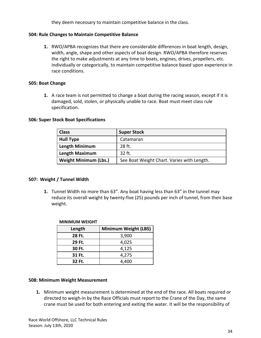they deem necessary to maintain competitive balance in the class.

#### <span id="page-33-0"></span>**504: Rule Changes to Maintain Competitive Balance**

**1.** RWO/APBA recognizes that there are considerable differences in boat length, design, width, angle, shape and other aspects of boat design. RWO/APBA therefore reserves the right to make adjustments at any time to boats, engines, drives, propellers, etc. individually or categorically, to maintain competitive balance based upon experience in race conditions.

#### <span id="page-33-1"></span>**505: Boat Change**

**1.** A race team is not permitted to change a boat during the racing season, except if it is damaged, sold, stolen, or physically unable to race. Boat must meet class rule specification.

#### <span id="page-33-2"></span>**506: Super Stock Boat Specifications**

| <b>Class</b>                 | <b>Super Stock</b>                         |
|------------------------------|--------------------------------------------|
| <b>Hull Type</b>             | Catamaran                                  |
| <b>Length Minimum</b>        | 28 ft.                                     |
| <b>Length Maximum</b>        | 32 ft.                                     |
| <b>Weight Minimum (Lbs.)</b> | See Boat Weight Chart. Varies with Length. |

#### <span id="page-33-3"></span>**507: Weight / Tunnel Width**

**1.** Tunnel Width no more than 63". Any boat having less than 63" in the tunnel may reduce its overall weight by twenty-five (25) pounds per inch of tunnel, from their base weight.

| ו חטושונואו ואוטוואו |                             |  |  |
|----------------------|-----------------------------|--|--|
| Length               | <b>Minimum Weight (LBS)</b> |  |  |
| 28 Ft.               | 3,900                       |  |  |
| 29 Ft.               | 4,025                       |  |  |
| 30 Ft.               | 4,125                       |  |  |
| 31 Ft.               | 4,275                       |  |  |
| 32 Ft.               | 4,400                       |  |  |

#### **MINIMUM WEIGHT**

#### <span id="page-33-4"></span>**508: Minimum Weight Measurement**

**1.** Minimum weight measurement is determined at the end of the race. All boats required or directed to weigh-in by the Race Officials must report to the Crane of the Day, the same crane must be used for both entering and exiting the water. It will be the responsibility of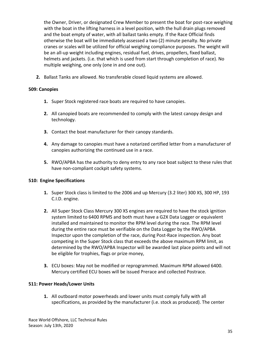the Owner, Driver, or designated Crew Member to present the boat for post-race weighing with the boat in the lifting harness in a level position, with the hull drain plugs removed and the boat empty of water, with all ballast tanks empty. If the Race Official finds otherwise the boat will be immediately assessed a two (2) minute penalty. No private cranes or scales will be utilized for official weighing compliance purposes. The weight will be an all-up weight including engines, residual fuel, drives, propellers, fixed ballast, helmets and jackets. (i.e. that which is used from start through completion of race). No multiple weighing, one only (one in and one out).

**2.** Ballast Tanks are allowed. No transferable closed liquid systems are allowed.

#### <span id="page-34-0"></span>**509: Canopies**

- **1.** Super Stock registered race boats are required to have canopies.
- **2.** All canopied boats are recommended to comply with the latest canopy design and technology.
- **3.** Contact the boat manufacturer for their canopy standards.
- **4.** Any damage to canopies must have a notarized certified letter from a manufacturer of canopies authorizing the continued use in a race.
- **5.** RWO/APBA has the authority to deny entry to any race boat subject to these rules that have non-compliant cockpit safety systems.

# <span id="page-34-1"></span>**510: Engine Specifications**

- **1.** Super Stock class is limited to the 2006 and up Mercury (3.2 liter) 300 XS, 300 HP, 193 C.I.D. engine.
- **2.** All Super Stock Class Mercury 300 XS engines are required to have the stock ignition system limited to 6400 RPMS and both must have a G2X Data Logger or equivalent installed and maintained to monitor the RPM level during the race. The RPM level during the entire race must be verifiable on the Data Logger by the RWO/APBA Inspector upon the completion of the race, during Post-Race inspection. Any boat competing in the Super Stock class that exceeds the above maximum RPM limit, as determined by the RWO/APBA Inspector will be awarded last place points and will not be eligible for trophies, flags or prize money,
- **3.** ECU boxes: May not be modified or reprogrammed. Maximum RPM allowed 6400. Mercury certified ECU boxes will be issued Prerace and collected Postrace.

#### <span id="page-34-2"></span>**511: Power Heads/Lower Units**

**1.** All outboard motor powerheads and lower units must comply fully with all specifications, as provided by the manufacturer (i.e. stock as produced). The center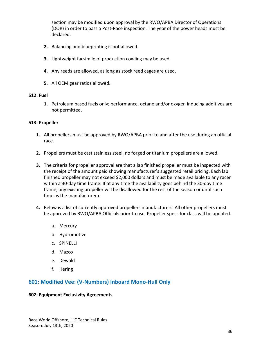section may be modified upon approval by the RWO/APBA Director of Operations (DOR) in order to pass a Post-Race inspection. The year of the power heads must be declared.

- **2.** Balancing and blueprinting is not allowed.
- **3.** Lightweight facsimile of production cowling may be used.
- **4.** Any reeds are allowed, as long as stock reed cages are used.
- **5.** All OEM gear ratios allowed.

#### <span id="page-35-0"></span>**512: Fuel**

**1.** Petroleum based fuels only; performance, octane and/or oxygen inducing additives are not permitted.

#### <span id="page-35-1"></span>**513: Propeller**

- **1.** All propellers must be approved by RWO/APBA prior to and after the use during an official race.
- **2.** Propellers must be cast stainless steel, no forged or titanium propellers are allowed.
- **3.** The criteria for propeller approval are that a lab finished propeller must be inspected with the receipt of the amount paid showing manufacturer's suggested retail pricing. Each lab finished propeller may not exceed \$2,000 dollars and must be made available to any racer within a 30-day time frame. If at any time the availability goes behind the 30-day time frame, any existing propeller will be disallowed for the rest of the season or until such time as the manufacturer c
- **4.** Below is a list of currently approved propellers manufacturers. All other propellers must be approved by RWO/APBA Officials prior to use. Propeller specs for class will be updated.
	- a. Mercury
	- b. Hydromotive
	- c. SPINELLI
	- d. Mazco
	- e. Dewald
	- f. Hering

# <span id="page-35-2"></span>**601: Modified Vee: (V-Numbers) Inboard Mono-Hull Only**

#### <span id="page-35-3"></span>**602: Equipment Exclusivity Agreements**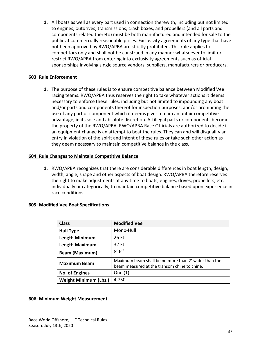**1.** All boats as well as every part used in connection therewith, including but not limited to engines, outdrives, transmissions, crash boxes, and propellers (and all parts and components related thereto) must be both manufactured and intended for sale to the public at commercially reasonable prices. Exclusivity agreements of any type that have not been approved by RWO/APBA are strictly prohibited. This rule applies to competitors only and shall not be construed in any manner whatsoever to limit or restrict RWO/APBA from entering into exclusivity agreements such as official sponsorships involving single source vendors, suppliers, manufacturers or producers.

#### <span id="page-36-0"></span>**603: Rule Enforcement**

**1.** The purpose of these rules is to ensure competitive balance between Modified Vee racing teams. RWO/APBA thus reserves the right to take whatever actions it deems necessary to enforce these rules, including but not limited to impounding any boat and/or parts and components thereof for inspection purposes, and/or prohibiting the use of any part or component which it deems gives a team an unfair competitive advantage, in its sole and absolute discretion. All illegal parts or components become the property of the RWO/APBA. RWO/APBA Race Officials are authorized to decide if an equipment change is an attempt to beat the rules. They can and will disqualify an entry in violation of the spirit and intent of these rules or take such other action as they deem necessary to maintain competitive balance in the class.

#### <span id="page-36-1"></span>**604: Rule Changes to Maintain Competitive Balance**

**1.** RWO/APBA recognizes that there are considerable differences in boat length, design, width, angle, shape and other aspects of boat design. RWO/APBA therefore reserves the right to make adjustments at any time to boats, engines, drives, propellers, etc. individually or categorically, to maintain competitive balance based upon experience in race conditions.

#### <span id="page-36-2"></span>**605: Modified Vee Boat Specifications**

| <b>Class</b>                 | <b>Modified Vee</b>                                                                                  |
|------------------------------|------------------------------------------------------------------------------------------------------|
| <b>Hull Type</b>             | Mono-Hull                                                                                            |
| <b>Length Minimum</b>        | 26 Ft.                                                                                               |
| <b>Length Maximum</b>        | 32 Ft.                                                                                               |
| <b>Beam (Maximum)</b>        | 8' 6''                                                                                               |
| <b>Maximum Beam</b>          | Maximum beam shall be no more than 2' wider than the<br>beam measured at the transom chine to chine. |
| <b>No. of Engines</b>        | One $(1)$                                                                                            |
| <b>Weight Minimum (Lbs.)</b> | 4,750                                                                                                |

#### <span id="page-36-3"></span>**606: Minimum Weight Measurement**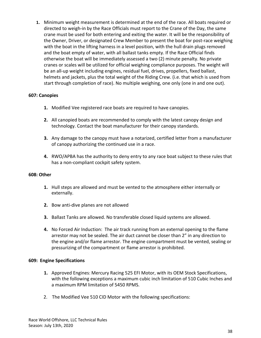**1.** Minimum weight measurement is determined at the end of the race. All boats required or directed to weigh-in by the Race Officials must report to the Crane of the Day, the same crane must be used for both entering and exiting the water. It will be the responsibility of the Owner, Driver, or designated Crew Member to present the boat for post-race weighing with the boat in the lifting harness in a level position, with the hull drain plugs removed and the boat empty of water, with all ballast tanks empty. If the Race Official finds otherwise the boat will be immediately assessed a two (2) minute penalty. No private cranes or scales will be utilized for official weighing compliance purposes. The weight will be an all-up weight including engines, residual fuel, drives, propellers, fixed ballast, helmets and jackets, plus the total weight of the Riding Crew. (i.e. that which is used from start through completion of race). No multiple weighing, one only (one in and one out).

#### <span id="page-37-0"></span>**607: Canopies**

- **1.** Modified Vee registered race boats are required to have canopies.
- **2.** All canopied boats are recommended to comply with the latest canopy design and technology. Contact the boat manufacturer for their canopy standards.
- **3.** Any damage to the canopy must have a notarized, certified letter from a manufacturer of canopy authorizing the continued use in a race.
- **4.** RWO/APBA has the authority to deny entry to any race boat subject to these rules that has a non-compliant cockpit safety system.

#### <span id="page-37-1"></span>**608: Other**

- **1.** Hull steps are allowed and must be vented to the atmosphere either internally or externally.
- **2.** Bow anti-dive planes are not allowed
- **3.** Ballast Tanks are allowed. No transferable closed liquid systems are allowed.
- **4.** No Forced Air Induction: The air track running from an external opening to the flame arrestor may not be sealed. The air duct cannot be closer than 2" in any direction to the engine and/or flame arrestor. The engine compartment must be vented, sealing or pressurizing of the compartment or flame arrestor is prohibited.

#### <span id="page-37-2"></span>**609: Engine Specifications**

- **1.** Approved Engines: Mercury Racing 525 EFI Motor, with its OEM Stock Specifications, with the following exceptions a maximum cubic inch limitation of 510 Cubic Inches and a maximum RPM limitation of 5450 RPMS.
- 2. The Modified Vee 510 CID Motor with the following specifications: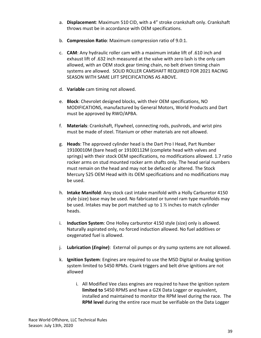- a. **Displacement**: Maximum 510 CID, with a 4" stroke crankshaft only. Crankshaft throws must be in accordance with OEM specifications.
- b. **Compression Ratio**: Maximum compression ratio of 9.0:1.
- c. **CAM**: Any hydraulic roller cam with a maximum intake lift of .610 inch and exhaust lift of .632 inch measured at the valve with zero lash is the only cam allowed, with an OEM stock gear timing chain, no belt driven timing chain systems are allowed. SOLID ROLLER CAMSHAFT REQUIRED FOR 2021 RACING SEASON WITH SAME LIFT SPECIFICATIONS AS ABOVE.
- d. **Variable** cam timing not allowed.
- e. **Block**: Chevrolet designed blocks, with their OEM specifications, NO MODIFICATIONS, manufactured by General Motors, World Products and Dart must be approved by RWO/APBA.
- f. **Materials**: Crankshaft, Flywheel, connecting rods, pushrods, and wrist pins must be made of steel. Titanium or other materials are not allowed.
- g. **Heads**: The approved cylinder head is the Dart Pro I Head, Part Number 19100010M (bare head) or 19100112M (complete head with valves and springs) with their stock OEM specifications, no modifications allowed. 1.7 ratio rocker arms on stud mounted rocker arm shafts only. The head serial numbers must remain on the head and may not be defaced or altered. The Stock Mercury 525 OEM Head with its OEM specifications and no modifications may be used.
- h. **Intake Manifold**: Any stock cast intake manifold with a Holly Carburetor 4150 style (size) base may be used. No fabricated or tunnel ram type manifolds may be used. Intakes may be port matched up to 1 ½ inches to match cylinder heads.
- i. **Induction System**: One Holley carburetor 4150 style (size) only is allowed. Naturally aspirated only, no forced induction allowed. No fuel additives or oxygenated fuel is allowed.
- j. **Lubrication (***Engine***)**: External oil pumps or dry sump systems are not allowed.
- k. **Ignition System**: Engines are required to use the MSD Digital or Analog Ignition system limited to 5450 RPMs. Crank triggers and belt drive ignitions are not allowed
	- i. All Modified Vee class engines are required to have the ignition system **limited to** 5450 RPMS and have a G2X Data Logger or equivalent, installed and maintained to monitor the RPM level during the race. The **RPM level** during the entire race must be verifiable on the Data Logger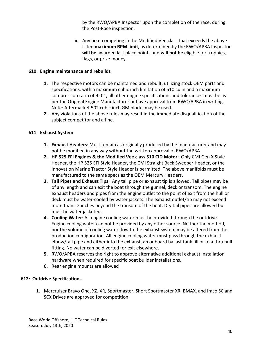by the RWO/APBA Inspector upon the completion of the race, during the Post-Race inspection.

ii. Any boat competing in the Modified Vee class that exceeds the above listed **maximum RPM limit**, as determined by the RWO/APBA Inspector **will be** awarded last place points and **will not be** eligible for trophies, flags, or prize money.

#### <span id="page-39-0"></span>**610: Engine maintenance and rebuilds**

- **1.** The respective motors can be maintained and rebuilt, utilizing stock OEM parts and specifications, with a maximum cubic inch limitation of 510 cu in and a maximum compression ratio of 9.0:1, all other engine specifications and tolerances must be as per the Original Engine Manufacturer or have approval from RWO/APBA in writing. Note: Aftermarket 502 cubic inch GM blocks may be used.
- **2.** Any violations of the above rules may result in the immediate disqualification of the subject competitor and a fine.

# <span id="page-39-1"></span>**611: Exhaust System**

- **1. Exhaust Headers**: Must remain as originally produced by the manufacturer and may not be modified in any way without the written approval of RWO/APBA.
- **2. HP 525 EFI Engines & the Modified Vee class 510 CID Motor**: Only CMI Gen X Style Header, the HP 525 EFI Style Header, the CMI Straight Back Sweeper Header, or the Innovation Marine Tractor Style Header is permitted. The above manifolds must be manufactured to the same specs as the OEM Mercury Headers.
- **3. Tail Pipes and Exhaust Tips**: Any tail pipe or exhaust tip is allowed. Tail pipes may be of any length and can exit the boat through the gunnel, deck or transom. The engine exhaust headers and pipes from the engine outlet to the point of exit from the hull or deck must be water-cooled by water jackets. The exhaust outlet/tip may not exceed more than 12 inches beyond the transom of the boat. Dry tail pipes are allowed but must be water jacketed.
- **4. Cooling Water**: All engine cooling water must be provided through the outdrive. Engine cooling water can not be provided by any other source. Neither the method, nor the volume of cooling water flow to the exhaust system may be altered from the production configuration. All engine cooling water must pass through the exhaust elbow/tail pipe and either into the exhaust, an onboard ballast tank fill or to a thru hull fitting. No water can be diverted for exit elsewhere.
- **5.** RWO/APBA reserves the right to approve alternative additional exhaust installation hardware when required for specific boat builder installations.
- **6.** Rear engine mounts are allowed

# <span id="page-39-2"></span>**612: Outdrive Specifications**

**1.** Mercruiser Bravo One, XZ, XR, Sportmaster, Short Sportmaster XR, BMAX, and Imco SC and SCX Drives are approved for competition.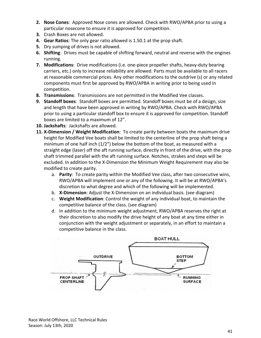- **2. Nose Cones**: Approved Nose cones are allowed. Check with RWO/APBA prior to using a particular nosecone to ensure it is approved for competition.
- **3.** Crash Boxes are not allowed.
- **4. Gear Ratios**: The only gear ratio allowed is 1.50.1 at the prop shaft.
- **5.** Dry sumping of drives is not allowed.
- **6. Shifting**: Drives must be capable of shifting forward, neutral and reverse with the engines running.
- **7. Modifications**: Drive modifications (i.e. one-piece propeller shafts, heavy-duty bearing carriers, etc.) only to increase reliability are allowed. Parts must be available to all racers at reasonable commercial prices. Any other modifications to the outdrive (s) or any related components must first be approved by RWO/APBA in writing prior to being used in competition.
- **8. Transmissions**: Transmissions are not permitted in the Modified Vee classes.
- **9. Standoff boxes**: Standoff boxes are permitted. Standoff boxes must be of a design, size and length that have been approved in writing by RWO/APBA. Check with RWO/APBA prior to using a particular standoff box to ensure it is approved for competition. Standoff boxes are limited to a maximum of 12".
- **10. Jackshafts**: Jackshafts are allowed.
- **11. X-Dimension / Weight Modification**: To create parity between boats the maximum drive height for Modified Vee boats shall be limited to the centerline of the prop shaft being a minimum of one half inch  $(1/2)$  below the bottom of the boat, as measured with a straight edge (laser) off the aft running surface, directly in front of the drive, with the prop shaft trimmed parallel with the aft running surface. Notches, strakes and steps will be excluded. In addition to the X-Dimension the Minimum Weight Requirement may also be modified to create parity.
	- a. **Parity**: To create parity within the Modified Vee class, after two consecutive wins, RWO/APBA will implement one or any of the following. It will be at RWO/APBA's discretion to what degree and which of the following will be implemented.
	- b. **X-Dimension**: Adjust the X-Dimension on an individual basis. (see diagram)
	- c. **Weight Modification**: Control the weight of any individual boat, to maintain the competitive balance of the class. (see diagram)
	- d. In addition to the minimum weight adjustment, RWO/APBA reserves the right at their discretion to also modify the drive height of any boat at any time either in conjunction with the weight adjustment or separately, in an effort to maintain a competitive balance in the class.

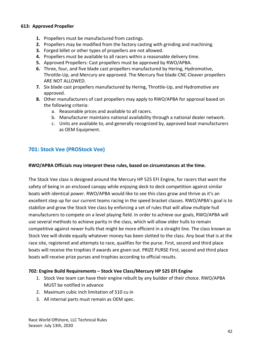#### <span id="page-41-0"></span>**613: Approved Propeller**

- **1.** Propellers must be manufactured from castings.
- **2.** Propellers may be modified from the factory casting with grinding and machining.
- **3.** Forged billet or other types of propellers are not allowed.
- **4.** Propellers must be available to all racers within a reasonable delivery time.
- **5.** Approved Propellers: Cast propellers must be approved by RWO/APBA.
- **6.** Three, four, and five blade cast propellers manufactured by Hering, Hydromotive, Throttle-Up, and Mercury are approved. The Mercury five blade CNC Cleaver propellers ARE NOT ALLOWED.
- **7.** Six blade cast propellers manufactured by Hering, Throttle-Up, and Hydromotive are approved.
- **8.** Other manufacturers of cast propellers may apply to RWO/APBA for approval based on the following criteria:
	- a. Reasonable prices and available to all racers.
	- b. Manufacturer maintains national availability through a national dealer network.
	- c. Units are available to, and generally recognized by, approved boat manufacturers as OEM Equipment.

# <span id="page-41-1"></span>**701: Stock Vee (PROStock Vee)**

#### **RWO/APBA Officials may interpret these rules, based on circumstances at the time.**

The Stock Vee class is designed around the Mercury HP 525 EFI Engine, for racers that want the safety of being in an enclosed canopy while enjoying deck to deck competition against similar boats with identical power. RWO/APBA would like to see this class grow and thrive as it's an excellent step up for our current teams racing in the speed bracket classes. RWO/APBA's goal is to stabilize and grow the Stock Vee class by enforcing a set of rules that will allow multiple hull manufacturers to compete on a level playing field. In order to achieve our goals, RWO/APBA will use several methods to achieve parity in the class, which will allow older hulls to remain competitive against newer hulls that might be more efficient in a straight line. The class known as Stock Vee will divide equally whatever money has been slotted to the class. Any boat that is at the race site, registered and attempts to race, qualifies for the purse. First, second and third place boats will receive the trophies if awards are given out. PRIZE PURSE First, second and third place boats will receive prize purses and trophies according to official results.

#### <span id="page-41-2"></span>**702: Engine Build Requirements – Stock Vee Class/Mercury HP 525 EFI Engine**

- 1. Stock Vee team can have their engine rebuilt by any builder of their choice. RWO/APBA MUST be notified in advance
- 2. Maximum cubic inch limitation of 510 cu in
- 3. All internal parts must remain as OEM spec.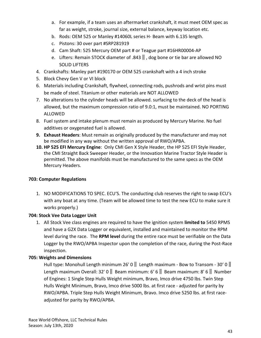- a. For example, if a team uses an aftermarket crankshaft, it must meet OEM spec as far as weight, stroke, journal size, external balance, keyway location etc.
- b. Rods: OEM 525 or Manley #14060L series H- Beam with 6.135 length.
- c. Pistons: 30 over part #SRP281919
- d. Cam Shaft: 525 Mercury OEM part # or Teague part #16HR00004-AP
- e. Lifters: Remain STOCK diameter of .843‖, dog bone or tie bar are allowed NO SOLID LIFTERS
- 4. Crankshafts: Manley part #190170 or OEM 525 crankshaft with a 4 inch stroke
- 5. Block Chevy Gen V or VI block
- 6. Materials including Crankshaft, flywheel, connecting rods, pushrods and wrist pins must be made of steel. Titanium or other materials are NOT ALLOWED
- 7. No alterations to the cylinder heads will be allowed. surfacing to the deck of the head is allowed, but the maximum compression ratio of 9.0:1, must be maintained. NO PORTING ALLOWED
- 8. Fuel system and intake plenum must remain as produced by Mercury Marine. No fuel additives or oxygenated fuel is allowed.
- **9. Exhaust Headers**: Must remain as originally produced by the manufacturer and may not be modified in any way without the written approval of RWO/APBA.
- **10. HP 525 EFI Mercury Engine**: Only CMI Gen X Style Header, the HP 525 EFI Style Header, the CMI Straight Back Sweeper Header, or the Innovation Marine Tractor Style Header is permitted. The above manifolds must be manufactured to the same specs as the OEM Mercury Headers.

#### <span id="page-42-0"></span>**703: Computer Regulations**

1. NO MODIFICATIONS TO SPEC. ECU'S. The conducting club reserves the right to swap ECU's with any boat at any time. (Team will be allowed time to test the new ECU to make sure it works properly.)

#### <span id="page-42-1"></span>**704: Stock Vee Data Logger Unit**

1. All Stock Vee class engines are required to have the ignition system **limited to** 5450 RPMS and have a G2X Data Logger or equivalent, installed and maintained to monitor the RPM level during the race. The **RPM level** during the entire race must be verifiable on the Data Logger by the RWO/APBA Inspector upon the completion of the race, during the Post-Race inspection.

#### <span id="page-42-2"></span>**705: Weights and Dimensions**

Hull type: Monohull Length minimum 26' 0  $\parallel$  Length maximum - Bow to Transom - 30' 0  $\parallel$ Length maximum Overall: 32' 0 || Beam minimum: 6' 6 || Beam maximum: 8' 6 || Number of Engines: 1 Single Step Hulls Weight minimum, Bravo, Imco drive 4750 lbs. Twin Step Hulls Weight Minimum, Bravo, Imco drive 5000 lbs. at first race - adjusted for parity by RWO/APBA. Triple Step Hulls Weight Minimum, Bravo. Imco drive 5250 lbs. at first raceadjusted for parity by RWO/APBA.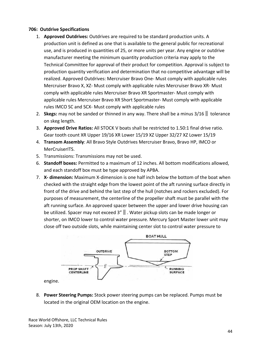#### **706: Outdrive Specifications**

- 1. **Approved Outdrives:** Outdrives are required to be standard production units. A production unit is defined as one that is available to the general public for recreational use, and is produced in quantities of 25, or more units per year. Any engine or outdrive manufacturer meeting the minimum quantity production criteria may apply to the Technical Committee for approval of their product for competition. Approval is subject to production quantity verification and determination that no competitive advantage will be realized. Approved Outdrives: Mercruiser Bravo One- Must comply with applicable rules Mercruiser Bravo X, XZ- Must comply with applicable rules Mercruiser Bravo XR- Must comply with applicable rules Mercruiser Bravo XR Sportmaster- Must comply with applicable rules Mercruiser Bravo XR Short Sportmaster- Must comply with applicable rules IMCO SC and SCX- Must comply with applicable rules
- 2. **Skegs:** may not be sanded or thinned in any way. There shall be a minus 3/16‖ tolerance on skeg length.
- 3. **Approved Drive Ratios:** All STOCK V boats shall be restricted to 1.50:1 final drive ratio. Gear tooth count XR Upper 19/16 XR Lower 15/19 XZ Upper 32/27 XZ Lower 15/19
- 4. **Transom Assembly**: All Bravo Style Outdrives Mercruiser Bravo, Bravo HP, IMCO or MerCruiserITS.
- 5. Transmissions: Transmissions may not be used.
- 6. **Standoff boxes:** Permitted to a maximum of 12 inches. All bottom modifications allowed, and each standoff box must be type approved by APBA.
- 7. **X- dimension:** Maximum X-dimension is one half inch below the bottom of the boat when checked with the straight edge from the lowest point of the aft running surface directly in front of the drive and behind the last step of the hull (notches and rockers excluded). For purposes of measurement, the centerline of the propeller shaft must be parallel with the aft running surface. An approved spacer between the upper and lower drive housing can be utilized. Spacer may not exceed 3"‖. Water pickup slots can be made longer or shorter, on IMCO lower to control water pressure. Mercury Sport Master lower unit may close off two outside slots, while maintaining center slot to control water pressure to



8. **Power Steering Pumps:** Stock power steering pumps can be replaced. Pumps must be located in the original OEM location on the engine.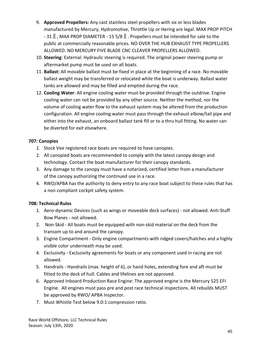- 9. **Approved Propellers:** Any cast stainless steel propellers with six or less blades manufactured by Mercury, Hydromotive, Throttle Up or Hering are legal. MAX PROP PITCH - 31‖, MAX PROP DIAMETER - 15 5/8‖. Propellers must be intended for sale to the public at commercially reasonable prices. NO OVER THE HUB EXHAUST TYPE PROPELLERS ALLOWED. NO MERCURY FIVE BLADE CNC CLEAVER PROPELLERS ALLOWED.
- 10. **Steering**: External: Hydraulic steering is required. The original power steering pump or aftermarket pump must be used on all boats.
- 11. **Ballast:** All movable ballast must be fixed in place at the beginning of a race. No movable ballast weight may be transferred or relocated while the boat is underway. Ballast water tanks are allowed and may be filled and emptied during the race.
- 12. **Cooling Water**: All engine cooling water must be provided through the outdrive. Engine cooling water can not be provided by any other source. Neither the method, nor the volume of cooling water flow to the exhaust system may be altered from the production configuration. All engine cooling water must pass through the exhaust elbow/tail pipe and either into the exhaust, an onboard ballast tank fill or to a thru hull fitting. No water can be diverted for exit elsewhere.

### **707: Canopies**

- *1.* Stock Vee registered race boats are required to have canopies.
- 2. All canopied boats are recommended to comply with the latest canopy design and technology. Contact the boat manufacturer for their canopy standards.
- 3. Any damage to the canopy must have a notarized, certified letter from a manufacturer of the canopy authorizing the continued use in a race.
- 4. RWO/APBA has the authority to deny entry to any race boat subject to these rules that has a non compliant cockpit safety system.

# <span id="page-44-0"></span>**708: Technical Rules**

- 1. Aero-dynamic Devices (such as wings or moveable deck surfaces) not allowed. Anti-Stuff Bow Planes - not allowed.
- 2. Non-Skid All boats must be equipped with non-skid material on the deck from the transom up to and around the canopy.
- 3. Engine Compartment Only engine compartments with ridged covers/hatches and a highly visible color underneath may be used.
- 4. Exclusivity Exclusivity agreements for boats or any component used in racing are not allowed.
- 5. Handrails Handrails (max. height of 6), or hand holes, extending fore and aft must be fitted to the deck of hull. Cables and lifelines are not approved.
- 6. Approved Inboard Production Race Engine: The approved engine is the Mercury 525 EFI Engine. All engines must pass pre and post race technical inspections. All rebuilds MUST be approved by RWO/ APBA Inspector.
- 7. Must Whistle Test below 9.0:1 compression ratio.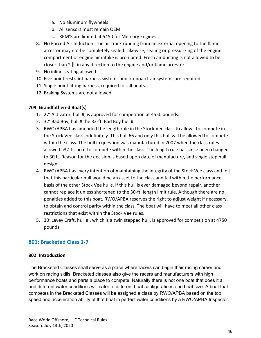- a. No aluminum flywheels
- b. All sensors must remain OEM
- c. RPM'S are limited at 5450 for Mercury Engines
- 8. No Forced Air Induction: The air track running from an external opening to the flame arrestor may not be completely sealed. Likewise, sealing or pressurizing of the engine compartment or engine air intake is prohibited. Fresh air ducting is not allowed to be closer than 2  $\parallel$  in any direction to the engine and/or flame arrestor.
- 9. No inline seating allowed.
- 10. Five point restraint harness systems and on-board air systems are required.
- 11. Single point lifting harness, required for all boats.
- 12. Braking Systems are not allowed.

# <span id="page-45-0"></span>**709: Grandfathered Boat(s)**

- 1. 27' Activator, hull #, is approved for competition at 4550 pounds.
- 2. 32' Bad Boy, hull # the 32-ft. Bad Boy hull #
- 3. RWO/APBA has amended the length rule in the Stock Vee class to allow , to compete in the Stock Vee class indefinitely. This hull 66 and only this hull will be allowed to compete within the class. The hull in question was manufactured in 2007 when the class rules allowed a32-ft. boat to compete within the class. The length rule has since been changed to 30 ft. Reason for the decision is based upon date of manufacture, and single step hull design.
- 4. RWO/APBA has every intention of maintaining the integrity of the Stock Vee class and felt that this particular hull would be an asset to the class and fall within the performance basis of the other Stock Vee hulls. If this hull is ever damaged beyond repair, another cannot replace it unless shortened to the 30-ft. length limit rule. Although there are no penalties added to this boat, RWO/APBA reserves the right to adjust weight if necessary, to obtain and control parity within the class. The boat will have to meet all other class restrictions that exist within the Stock Vee rules.
- 5. 30' Lavey Craft, hull #, which is a twin stepped hull, is approved for competition at 4750 pounds.

# <span id="page-45-1"></span>**801: Bracketed Class 1-7**

# <span id="page-45-2"></span>**802: Introduction**

The Bracketed Classes shall serve as a place where racers can begin their racing career and work on racing skills. Bracketed classes also give the racers and manufacturers with high performance boats and parts a place to compete. Naturally there is not one boat that does it all and different water conditions will cater to different boat configurations and boat size. A boat that competes in the Bracketed Classes will be assigned a class by RWO/APBA based on the top speed and acceleration ability of that boat in perfect water conditions by a RWO/APBA Inspector.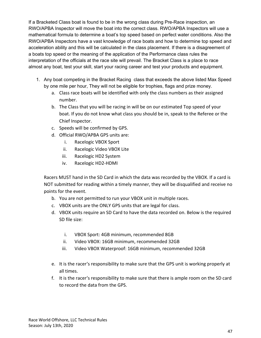If a Bracketed Class boat is found to be in the wrong class during Pre-Race inspection, an RWO/APBA Inspector will move the boat into the correct class. RWO/APBA Inspectors will use a mathematical formula to determine a boat's top speed based on perfect water conditions. Also the RWO/APBA Inspectors have a vast knowledge of race boats and how to determine top speed and acceleration ability and this will be calculated in the class placement. If there is a disagreement of a boats top speed or the meaning of the application of the Performance class rules the interpretation of the officials at the race site will prevail. The Bracket Class is a place to race almost any boat, test your skill, start your racing career and test your products and equipment.

- 1. Any boat competing in the Bracket Racing class that exceeds the above listed Max Speed by one mile per hour, They will not be eligible for trophies, flags and prize money.
	- a. Class race boats will be identified with only the class numbers as their assigned number.
	- b. The Class that you will be racing in will be on our estimated Top speed of your boat. If you do not know what class you should be in, speak to the Referee or the Chief Inspector.
	- c. Speeds will be confirmed by GPS.
	- d. Official RWO/APBA GPS units are:
		- i. Racelogic VBOX Sport
		- ii. Racelogic Video VBOX Lite
		- iii. Racelogic HD2 System
		- iv. Racelogic HD2-HDMI

Racers MUST hand in the SD Card in which the data was recorded by the VBOX. If a card is NOT submitted for reading within a timely manner, they will be disqualified and receive no points for the event.

- b. You are not permitted to run your VBOX unit in multiple races.
- c. VBOX units are the ONLY GPS units that are legal for class.
- d. VBOX units require an SD Card to have the data recorded on. Below is the required SD file size:
	- i. VBOX Sport: 4GB minimum, recommended 8GB
	- ii. Video VBOX: 16GB minimum, recommended 32GB
	- iii. Video VBOX Waterproof: 16GB minimum, recommended 32GB
- e. It is the racer's responsibility to make sure that the GPS unit is working properly at all times.
- f. It is the racer's responsibility to make sure that there is ample room on the SD card to record the data from the GPS.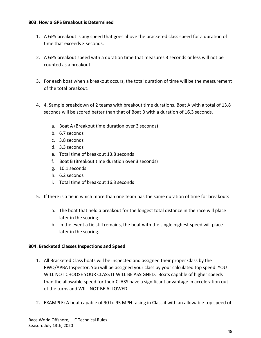#### <span id="page-47-0"></span>**803: How a GPS Breakout is Determined**

- 1. A GPS breakout is any speed that goes above the bracketed class speed for a duration of time that exceeds 3 seconds.
- 2. A GPS breakout speed with a duration time that measures 3 seconds or less will not be counted as a breakout.
- 3. For each boat when a breakout occurs, the total duration of time will be the measurement of the total breakout.
- 4. 4. Sample breakdown of 2 teams with breakout time durations. Boat A with a total of 13.8 seconds will be scored better than that of Boat B with a duration of 16.3 seconds.
	- a. Boat A (Breakout time duration over 3 seconds)
	- b. 6.7 seconds
	- c. 3.8 seconds
	- d. 3.3 seconds
	- e. Total time of breakout 13.8 seconds
	- f. Boat B (Breakout time duration over 3 seconds)
	- g. 10.1 seconds
	- h. 6.2 seconds
	- i. Total time of breakout 16.3 seconds
- 5. If there is a tie in which more than one team has the same duration of time for breakouts
	- a. The boat that held a breakout for the longest total distance in the race will place later in the scoring.
	- b. In the event a tie still remains, the boat with the single highest speed will place later in the scoring.

#### <span id="page-47-1"></span>**804: Bracketed Classes Inspections and Speed**

- 1. All Bracketed Class boats will be inspected and assigned their proper Class by the RWO/APBA Inspector. You will be assigned your class by your calculated top speed. YOU WILL NOT CHOOSE YOUR CLASS IT WILL BE ASSIGNED. Boats capable of higher speeds than the allowable speed for their CLASS have a significant advantage in acceleration out of the turns and WILL NOT BE ALLOWED.
- 2. EXAMPLE: A boat capable of 90 to 95 MPH racing in Class 4 with an allowable top speed of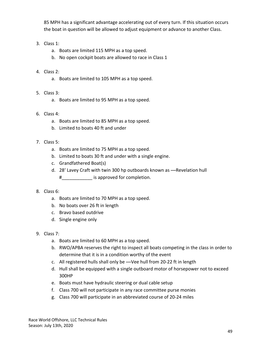85 MPH has a significant advantage accelerating out of every turn. If this situation occurs the boat in question will be allowed to adjust equipment or advance to another Class.

- 3. Class 1:
	- a. Boats are limited 115 MPH as a top speed.
	- b. No open cockpit boats are allowed to race in Class 1

# 4. Class 2:

- a. Boats are limited to 105 MPH as a top speed.
- 5. Class 3:
	- a. Boats are limited to 95 MPH as a top speed.
- 6. Class 4:
	- a. Boats are limited to 85 MPH as a top speed.
	- b. Limited to boats 40 ft and under

# 7. Class 5:

- a. Boats are limited to 75 MPH as a top speed.
- b. Limited to boats 30 ft and under with a single engine.
- c. Grandfathered Boat(s)
- d. 28' Lavey Craft with twin 300 hp outboards known as ―Revelation hull
	- #\_\_\_\_\_\_\_\_\_\_\_\_ is approved for completion.

# 8. Class 6:

- a. Boats are limited to 70 MPH as a top speed.
- b. No boats over 26 ft in length
- c. Bravo based outdrive
- d. Single engine only

# 9. Class 7:

- a. Boats are limited to 60 MPH as a top speed.
- b. RWO/APBA reserves the right to inspect all boats competing in the class in order to determine that it is in a condition worthy of the event
- c. All registered hulls shall only be ―Vee hull from 20-22 ft in length
- d. Hull shall be equipped with a single outboard motor of horsepower not to exceed 300HP
- e. Boats must have hydraulic steering or dual cable setup
- f. Class 700 will not participate in any race committee purse monies
- g. Class 700 will participate in an abbreviated course of 20-24 miles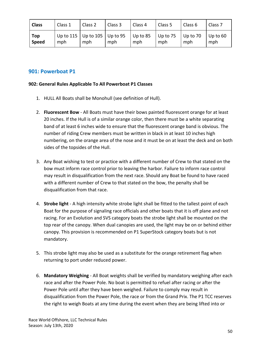| <b>Class</b> | Class 1 | Class 2                                 | Class 3 | Class 4             | Class 5             | Class <sub>6</sub> | Class <sub>7</sub> |
|--------------|---------|-----------------------------------------|---------|---------------------|---------------------|--------------------|--------------------|
| Top<br>Speed | mph     | Up to 115   Up to 105   Up to 95<br>mph | mph     | $ $ Up to 85<br>mph | $ $ Up to 75<br>mph | Up to 70<br>mph    | Up to 60<br>mph    |

# <span id="page-49-0"></span>**901: Powerboat P1**

#### <span id="page-49-1"></span>**902: General Rules Applicable To All Powerboat P1 Classes**

- 1. HULL All Boats shall be Monohull (see definition of Hull).
- 2. **Fluorescent Bow** All Boats must have their bows painted fluorescent orange for at least 20 inches. If the Hull is of a similar orange color, then there must be a white separating band of at least 6 inches wide to ensure that the fluorescent orange band is obvious. The number of riding Crew members must be written in black in at least 10 inches high numbering, on the orange area of the nose and it must be on at least the deck and on both sides of the topsides of the Hull.
- 3. Any Boat wishing to test or practice with a different number of Crew to that stated on the bow must inform race control prior to leaving the harbor. Failure to inform race control may result in disqualification from the next race. Should any Boat be found to have raced with a different number of Crew to that stated on the bow, the penalty shall be disqualification from that race.
- 4. **Strobe light**  A high intensity white strobe light shall be fitted to the tallest point of each Boat for the purpose of signaling race officials and other boats that it is off plane and not racing. For an Evolution and SVS category boats the strobe light shall be mounted on the top rear of the canopy. When dual canopies are used, the light may be on or behind either canopy. This provision is recommended on P1 SuperStock category boats but is not mandatory.
- 5. This strobe light may also be used as a substitute for the orange retirement flag when returning to port under reduced power.
- 6. **Mandatory Weighing**  All Boat weights shall be verified by mandatory weighing after each race and after the Power Pole. No boat is permitted to refuel after racing or after the Power Pole until after they have been weighed. Failure to comply may result in disqualification from the Power Pole, the race or from the Grand Prix. The P1 TCC reserves the right to weigh Boats at any time during the event when they are being lifted into or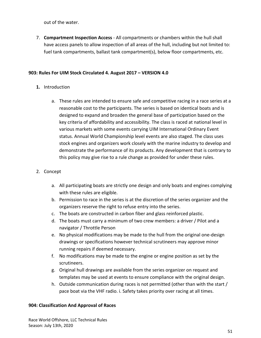out of the water.

7. **Compartment Inspection Access** - All compartments or chambers within the hull shall have access panels to allow inspection of all areas of the hull, including but not limited to: fuel tank compartments, ballast tank compartment(s), below floor compartments, etc.

#### <span id="page-50-0"></span>**903: Rules For UIM Stock Circulated 4. August 2017 – VERSION 4.0**

### **1.** Introduction

a. These rules are intended to ensure safe and competitive racing in a race series at a reasonable cost to the participants. The series is based on identical boats and is designed to expand and broaden the general base of participation based on the key criteria of affordability and accessibility. The class is raced at national level in various markets with some events carrying UIM International Ordinary Event status. Annual World Championship level events are also staged. The class uses stock engines and organizers work closely with the marine industry to develop and demonstrate the performance of its products. Any development that is contrary to this policy may give rise to a rule change as provided for under these rules.

#### 2. Concept

- a. All participating boats are strictly one design and only boats and engines complying with these rules are eligible.
- b. Permission to race in the series is at the discretion of the series organizer and the organizers reserve the right to refuse entry into the series.
- c. The boats are constructed in carbon fiber and glass reinforced plastic.
- d. The boats must carry a minimum of two crew members: a driver / Pilot and a navigator / Throttle Person
- e. No physical modifications may be made to the hull from the original one-design drawings or specifications however technical scrutineers may approve minor running repairs if deemed necessary.
- f. No modifications may be made to the engine or engine position as set by the scrutineers.
- g. Original hull drawings are available from the series organizer on request and templates may be used at events to ensure compliance with the original design.
- h. Outside communication during races is not permitted (other than with the start / pace boat via the VHF radio. i. Safety takes priority over racing at all times.

#### <span id="page-50-1"></span>**904: Classification And Approval of Races**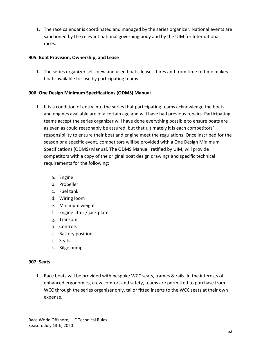1. The race calendar is coordinated and managed by the series organizer. National events are sanctioned by the relevant national governing body and by the UIM for International races.

#### <span id="page-51-0"></span>**905: Boat Provision, Ownership, and Lease**

1. The series organizer sells new and used boats, leases, hires and from time to time makes boats available for use by participating teams.

#### <span id="page-51-1"></span>**906: One Design Minimum Specifications (ODMS) Manual**

- 1. It is a condition of entry into the series that participating teams acknowledge the boats and engines available are of a certain age and will have had previous repairs. Participating teams accept the series organizer will have done everything possible to ensure boats are as even as could reasonably be assured, but that ultimately it is each competitors' responsibility to ensure their boat and engine meet the regulations. Once inscribed for the season or a specific event, competitors will be provided with a One Design Minimum Specifications (ODMS) Manual. The ODMS Manual, ratified by UIM, will provide competitors with a copy of the original boat design drawings and specific technical requirements for the following:
	- a. Engine
	- b. Propeller
	- c. Fuel tank
	- d. Wiring loom
	- e. Minimum weight
	- f. Engine lifter / jack plate
	- g. Transom
	- h. Controls
	- i. Battery position
	- j. Seats
	- k. Bilge pump

#### <span id="page-51-2"></span>**907: Seats**

1. Race boats will be provided with bespoke WCC seats, frames & rails. In the interests of enhanced ergonomics, crew comfort and safety, teams are permitted to purchase from WCC through the series organiser only, tailor fitted inserts to the WCC seats at their own expense.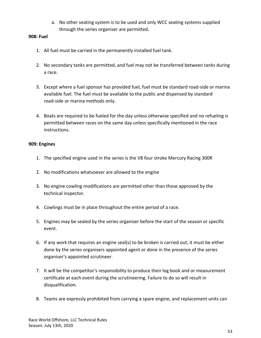a. No other seating system is to be used and only WCC seating systems supplied through the series organiser are permitted.

#### <span id="page-52-0"></span>**908: Fuel**

- 1. All fuel must be carried in the permanently installed fuel tank.
- 2. No secondary tanks are permitted, and fuel may not be transferred between tanks during a race.
- 3. Except where a fuel sponsor has provided fuel, fuel must be standard road-side or marina available fuel. The fuel must be available to the public and dispensed by standard road-side or marina methods only.
- 4. Boats are required to be fueled for the day unless otherwise specified and no refueling is permitted between races on the same day unless specifically mentioned in the race instructions.

#### <span id="page-52-1"></span>**909: Engines**

- 1. The specified engine used in the series is the V8 four stroke Mercury Racing 300R
- 2. No modifications whatsoever are allowed to the engine
- 3. No engine cowling modifications are permitted other than those approved by the technical inspector.
- 4. Cowlings must be in place throughout the entire period of a race.
- 5. Engines may be sealed by the series organiser before the start of the season or specific event.
- 6. If any work that requires an engine seal(s) to be broken is carried out, it must be either done by the series organisers appointed agent or done in the presence of the series organiser's appointed scrutineer.
- 7. It will be the competitor's responsibility to produce their log book and or measurement certificate at each event during the scrutineering. Failure to do so will result in disqualification.
- 8. Teams are expressly prohibited from carrying a spare engine, and replacement units can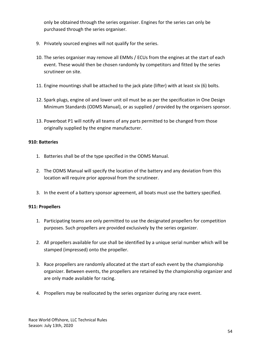only be obtained through the series organiser. Engines for the series can only be purchased through the series organiser.

- 9. Privately sourced engines will not qualify for the series.
- 10. The series organiser may remove all EMMs / ECUs from the engines at the start of each event. These would then be chosen randomly by competitors and fitted by the series scrutineer on site.
- 11. Engine mountings shall be attached to the jack plate (lifter) with at least six (6) bolts.
- 12. Spark plugs, engine oil and lower unit oil must be as per the specification in One Design Minimum Standards (ODMS Manual), or as supplied / provided by the organisers sponsor.
- 13. Powerboat P1 will notify all teams of any parts permitted to be changed from those originally supplied by the engine manufacturer.

# <span id="page-53-0"></span>**910: Batteries**

- 1. Batteries shall be of the type specified in the ODMS Manual.
- 2. The ODMS Manual will specify the location of the battery and any deviation from this location will require prior approval from the scrutineer.
- 3. In the event of a battery sponsor agreement, all boats must use the battery specified.

# <span id="page-53-1"></span>**911: Propellers**

- 1. Participating teams are only permitted to use the designated propellers for competition purposes. Such propellers are provided exclusively by the series organizer.
- 2. All propellers available for use shall be identified by a unique serial number which will be stamped (impressed) onto the propeller.
- 3. Race propellers are randomly allocated at the start of each event by the championship organizer. Between events, the propellers are retained by the championship organizer and are only made available for racing.
- 4. Propellers may be reallocated by the series organizer during any race event.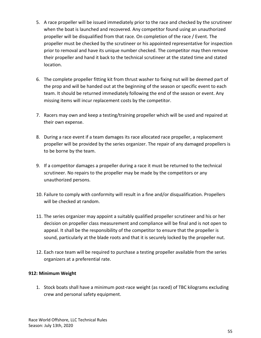- 5. A race propeller will be issued immediately prior to the race and checked by the scrutineer when the boat is launched and recovered. Any competitor found using an unauthorized propeller will be disqualified from that race. On completion of the race / Event. The propeller must be checked by the scrutineer or his appointed representative for inspection prior to removal and have its unique number checked. The competitor may then remove their propeller and hand it back to the technical scrutineer at the stated time and stated location.
- 6. The complete propeller fitting kit from thrust washer to fixing nut will be deemed part of the prop and will be handed out at the beginning of the season or specific event to each team. It should be returned immediately following the end of the season or event. Any missing items will incur replacement costs by the competitor.
- 7. Racers may own and keep a testing/training propeller which will be used and repaired at their own expense.
- 8. During a race event if a team damages its race allocated race propeller, a replacement propeller will be provided by the series organizer. The repair of any damaged propellers is to be borne by the team.
- 9. If a competitor damages a propeller during a race it must be returned to the technical scrutineer. No repairs to the propeller may be made by the competitors or any unauthorized persons.
- 10. Failure to comply with conformity will result in a fine and/or disqualification. Propellers will be checked at random.
- 11. The series organizer may appoint a suitably qualified propeller scrutineer and his or her decision on propeller class measurement and compliance will be final and is not open to appeal. It shall be the responsibility of the competitor to ensure that the propeller is sound, particularly at the blade roots and that it is securely locked by the propeller nut.
- 12. Each race team will be required to purchase a testing propeller available from the series organizers at a preferential rate.

#### <span id="page-54-0"></span>**912: Minimum Weight**

1. Stock boats shall have a minimum post-race weight (as raced) of TBC kilograms excluding crew and personal safety equipment.